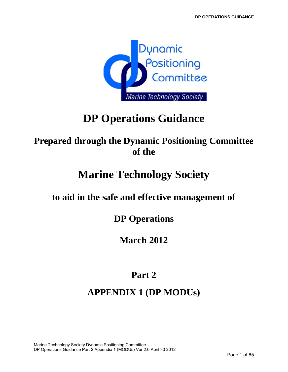

# **DP Operations Guidance**

# **Prepared through the Dynamic Positioning Committee of the**

# **Marine Technology Society**

# **to aid in the safe and effective management of**

**DP Operations** 

**March 2012** 

# **Part 2**

# **APPENDIX 1 (DP MODUs)**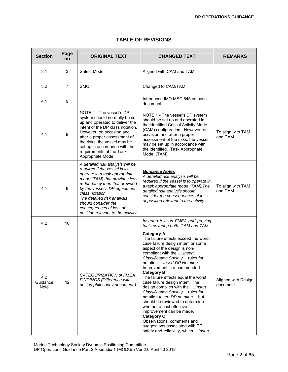| <b>Section</b>                 | Page<br>no | <b>ORIGINAL TEXT</b>                                                                                                                                                                                                                                                                                                                         | <b>CHANGED TEXT</b>                                                                                                                                                                                                                                                                                                                                                                                                                                                                                                                                                                                                                                                                               | <b>REMARKS</b>                  |
|--------------------------------|------------|----------------------------------------------------------------------------------------------------------------------------------------------------------------------------------------------------------------------------------------------------------------------------------------------------------------------------------------------|---------------------------------------------------------------------------------------------------------------------------------------------------------------------------------------------------------------------------------------------------------------------------------------------------------------------------------------------------------------------------------------------------------------------------------------------------------------------------------------------------------------------------------------------------------------------------------------------------------------------------------------------------------------------------------------------------|---------------------------------|
| 3.1                            | 3          | Safest Mode                                                                                                                                                                                                                                                                                                                                  | Aligned with CAM and TAM.                                                                                                                                                                                                                                                                                                                                                                                                                                                                                                                                                                                                                                                                         |                                 |
| 3.2                            | 7          | <b>SMO</b>                                                                                                                                                                                                                                                                                                                                   | Changed to CAM/TAM.                                                                                                                                                                                                                                                                                                                                                                                                                                                                                                                                                                                                                                                                               |                                 |
| 4.1                            | 9          |                                                                                                                                                                                                                                                                                                                                              | Introduced IMO MSC 645 as base<br>document.                                                                                                                                                                                                                                                                                                                                                                                                                                                                                                                                                                                                                                                       |                                 |
| 4.1                            | 9          | NOTE 1 - The vessel's DP<br>system should normally be set<br>up and operated to deliver the<br>intent of the DP class notation.<br>However, on occasion and<br>after a proper assessment of<br>the risks, the vessel may be<br>set up in accordance with the<br>requirements of the Task<br>Appropriate Mode.                                | NOTE 1 - The vessel's DP system<br>should be set up and operated in<br>the identified Critical Activity Mode<br>(CAM) configuration. However, on<br>occasion and after a proper<br>assessment of the risks, the vessel<br>may be set up in accordance with<br>the identified. Task Appropriate<br>Mode. (TAM)                                                                                                                                                                                                                                                                                                                                                                                     | To align with TAM<br>and CAM    |
| 4.1                            | 9          | A detailed risk analysis will be<br>required if the vessel is to<br>operate in a task appropriate<br>mode (TAM) that provides less<br>redundancy than that provided<br>by the vessel's DP equipment<br>class notation.<br>The detailed risk analysis<br>should consider the<br>consequences of loss of<br>position relevant to the activity. | <b>Guidance Notes</b><br>A detailed risk analysis will be<br>required if the vessel is to operate in<br>a task appropriate mode (TAM). The<br>detailed risk analysis should<br>consider the consequences of loss<br>of position relevant to the activity.                                                                                                                                                                                                                                                                                                                                                                                                                                         | To align with TAM<br>and CAM    |
| 4.2                            | 10         |                                                                                                                                                                                                                                                                                                                                              | Inserted text on FMEA and proving<br>trials covering both CAM and TAM                                                                                                                                                                                                                                                                                                                                                                                                                                                                                                                                                                                                                             |                                 |
| 4.2<br>Guidance<br><b>Note</b> | 12         | CATEGORIZATION of FMEA<br>FINDINGS (Difference with<br>design philosophy document.)                                                                                                                                                                                                                                                          | <b>Category A</b><br>The failure effects exceed the worst<br>case failure design intent or some<br>aspect of the design is non-<br>compliant with the Insert<br>Classification Society rules for<br>notation  Insert DP Notation<br>Improvement is recommended.<br><b>Category B</b><br>The failure effects equal the worst<br>case failure design intent. The<br>design complies with the Insert<br>Classification Society rules for<br>notation Insert DP notation but<br>should be reviewed to determine<br>whether a cost effective<br>improvement can be made.<br><b>Category C</b><br>Observations, comments and<br>suggestions associated with DP<br>safety and reliability, which  Insert | Aligned with Design<br>document |

## **TABLE OF REVISIONS**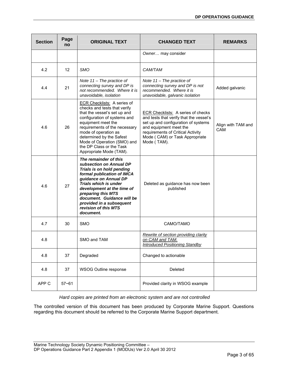| <b>Section</b> | Page<br>no | <b>ORIGINAL TEXT</b>                                                                                                                                                                                                                                                                                                                | <b>CHANGED TEXT</b>                                                                                                                                                                                                                         | <b>REMARKS</b>                   |
|----------------|------------|-------------------------------------------------------------------------------------------------------------------------------------------------------------------------------------------------------------------------------------------------------------------------------------------------------------------------------------|---------------------------------------------------------------------------------------------------------------------------------------------------------------------------------------------------------------------------------------------|----------------------------------|
|                |            |                                                                                                                                                                                                                                                                                                                                     | Owner may consider                                                                                                                                                                                                                          |                                  |
| 4.2            | 12         | <b>SMO</b>                                                                                                                                                                                                                                                                                                                          | CAM/TAM                                                                                                                                                                                                                                     |                                  |
| 4.4            | 21         | Note $11$ – The practice of<br>connecting survey and DP is<br>not recommended. Where it is<br>unavoidable, isolation                                                                                                                                                                                                                | Note $11$ – The practice of<br>connecting survey and DP is not<br>recommended. Where it is<br>unavoidable, galvanic isolation                                                                                                               | Added galvanic                   |
| 4.6            | 26         | <b>ECR Checklists: A series of</b><br>checks and tests that verify<br>that the vessel's set up and<br>configuration of systems and<br>equipment meet the<br>requirements of the necessary<br>mode of operation as<br>determined by the Safest<br>Mode of Operation (SMO) and<br>the DP Class or the Task<br>Appropriate Mode (TAM). | <b>ECR Checklists: A series of checks</b><br>and tests that verify that the vessel's<br>set up and configuration of systems<br>and equipment meet the<br>requirements of Critical Activity<br>Mode (CAM) or Task Appropriate<br>Mode (TAM). | Align with TAM and<br><b>CAM</b> |
| 4.6            | 27         | The remainder of this<br>subsection on Annual DP<br>Trials is on hold pending<br>formal publication of IMCA<br>guidance on Annual DP<br><b>Trials which is under</b><br>development at the time of<br>preparing this MTS<br>document. Guidance will be<br>provided in a subsequent<br>revision of this MTS<br>document.             | Deleted as guidance has now been<br>published                                                                                                                                                                                               |                                  |
| 4.7            | 30         | <b>SMO</b>                                                                                                                                                                                                                                                                                                                          | CAMO/TAMO                                                                                                                                                                                                                                   |                                  |
| 4.8            |            | SMO and TAM                                                                                                                                                                                                                                                                                                                         | Rewrite of section providing clarity<br>on CAM and TAM.<br><b>Introduced Positioning Standby</b>                                                                                                                                            |                                  |
| 4.8            | 37         | Degraded                                                                                                                                                                                                                                                                                                                            | Changed to actionable                                                                                                                                                                                                                       |                                  |
| 4.8            | 37         | WSOG Outline response                                                                                                                                                                                                                                                                                                               | Deleted                                                                                                                                                                                                                                     |                                  |
| APP C          | $57 - 61$  |                                                                                                                                                                                                                                                                                                                                     | Provided clarity in WSOG example                                                                                                                                                                                                            |                                  |

*Hard copies are printed from an electronic system and are not controlled* 

The controlled version of this document has been produced by Corporate Marine Support. Questions regarding this document should be referred to the Corporate Marine Support department.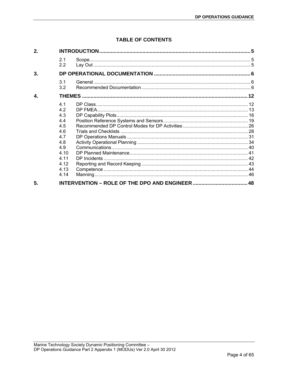## **TABLE OF CONTENTS**

| 2. |                                                                                                   |  |
|----|---------------------------------------------------------------------------------------------------|--|
|    | 2.1<br>2.2                                                                                        |  |
| 3. |                                                                                                   |  |
|    | 3.1<br>3.2                                                                                        |  |
| 4. |                                                                                                   |  |
|    | 4.1<br>4.2<br>4.3<br>4.4<br>4.5<br>46<br>47<br>4.8<br>4.9<br>4.10<br>4.11<br>4.12<br>4.13<br>4.14 |  |
| 5. |                                                                                                   |  |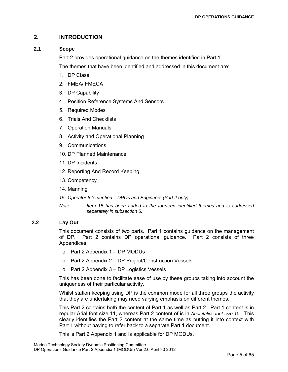## <span id="page-4-0"></span>**2. INTRODUCTION**

## <span id="page-4-1"></span>**2.1 Scope**

Part 2 provides operational guidance on the themes identified in Part 1.

The themes that have been identified and addressed in this document are:

- 1. DP Class
- 2. FMEA/ FMECA
- 3. DP Capability
- 4. Position Reference Systems And Sensors
- 5. Required Modes
- 6. Trials And Checklists
- 7. Operation Manuals
- 8. Activity and Operational Planning
- 9. Communications
- 10. DP Planned Maintenance
- 11. DP Incidents
- 12. Reporting And Record Keeping
- 13. Competency
- 14. Manning
- *15. Operator Intervention DPOs and Engineers (Part 2 only)*
- *Note Item 15 has been added to the fourteen identified themes and is addressed separately in subsection 5.*

## <span id="page-4-2"></span>**2.2 Lay Out**

This document consists of two parts. Part 1 contains guidance on the management of DP. Part 2 contains DP operational guidance. Part 2 consists of three Appendices.

- o Part 2 Appendix 1 DP MODUs
- o Part 2 Appendix 2 DP Project/Construction Vessels
- $\circ$  Part 2 Appendix 3 DP Logistics Vessels

This has been done to facilitate ease of use by these groups taking into account the uniqueness of their particular activity.

Whilst station keeping using DP is the common mode for all three groups the activity that they are undertaking may need varying emphasis on different themes.

This Part 2 contains both the content of Part 1 as well as Part 2. Part 1 content is in regular Arial font size 11, whereas Part 2 content of is in *Arial italics font size 10.* This clearly identifies the Part 2 content at the same time as putting it into context with Part 1 without having to refer back to a separate Part 1 document.

This is Part 2 Appendix 1 and is applicable for DP MODUs.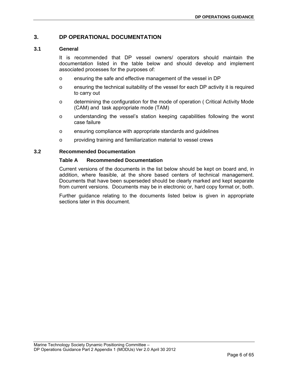## <span id="page-5-0"></span>**3. DP OPERATIONAL DOCUMENTATION**

## <span id="page-5-1"></span>**3.1 General**

It is recommended that DP vessel owners/ operators should maintain the documentation listed in the table below and should develop and implement associated processes for the purposes of:

- o ensuring the safe and effective management of the vessel in DP
- o ensuring the technical suitability of the vessel for each DP activity it is required to carry out
- o determining the configuration for the mode of operation ( Critical Activity Mode (CAM) and task appropriate mode (TAM)
- o understanding the vessel's station keeping capabilities following the worst case failure
- o ensuring compliance with appropriate standards and guidelines
- o providing training and familiarization material to vessel crews

## <span id="page-5-2"></span>**3.2 Recommended Documentation**

## **Table A Recommended Documentation**

Current versions of the documents in the list below should be kept on board and, in addition, where feasible, at the shore based centers of technical management. Documents that have been superseded should be clearly marked and kept separate from current versions. Documents may be in electronic or, hard copy format or, both.

Further guidance relating to the documents listed below is given in appropriate sections later in this document.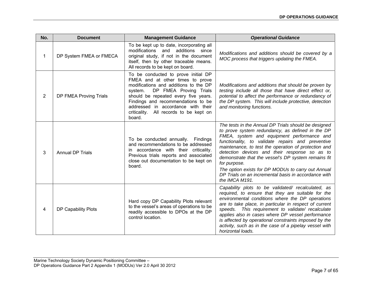| No.            | <b>Document</b>         | <b>Management Guidance</b>                                                                                                                                                                                                                                                                                                    | <b>Operational Guidance</b>                                                                                                                                                                                                                                                                                                                                                                                                                                                                                                 |
|----------------|-------------------------|-------------------------------------------------------------------------------------------------------------------------------------------------------------------------------------------------------------------------------------------------------------------------------------------------------------------------------|-----------------------------------------------------------------------------------------------------------------------------------------------------------------------------------------------------------------------------------------------------------------------------------------------------------------------------------------------------------------------------------------------------------------------------------------------------------------------------------------------------------------------------|
| 1              | DP System FMEA or FMECA | To be kept up to date, incorporating all<br>and additions<br>modifications<br>since<br>original study, if not in the document<br>itself, then by other traceable means.<br>All records to be kept on board.                                                                                                                   | Modifications and additions should be covered by a<br>MOC process that triggers updating the FMEA.                                                                                                                                                                                                                                                                                                                                                                                                                          |
| $\overline{2}$ | DP FMEA Proving Trials  | To be conducted to prove initial DP<br>FMEA and at other times to prove<br>modifications and additions to the DP<br>DP FMEA Proving Trials<br>system.<br>should be repeated every five years.<br>Findings and recommendations to be<br>addressed in accordance with their<br>criticality. All records to be kept on<br>board. | Modifications and additions that should be proven by<br>testing include all those that have direct effect or,<br>potential to affect the performance or redundancy of<br>the DP system. This will include protective, detection<br>and monitoring functions.                                                                                                                                                                                                                                                                |
| 3              | <b>Annual DP Trials</b> | To be conducted annually. Findings<br>and recommendations to be addressed<br>in accordance with their criticality.<br>Previous trials reports and associated<br>close out documentation to be kept on<br>board.                                                                                                               | The tests in the Annual DP Trials should be designed<br>to prove system redundancy, as defined in the DP<br>FMEA, system and equipment performance and<br>functionality, to validate repairs and preventive<br>maintenance, to test the operation of protection and<br>detection devices and their response so as to<br>demonstrate that the vessel's DP system remains fit<br>for purpose.<br>The option exists for DP MODUs to carry out Annual<br>DP Trials on an incremental basis in accordance with<br>the IMCA M191. |
| 4              | DP Capability Plots     | Hard copy DP Capability Plots relevant<br>to the vessel's areas of operations to be<br>readily accessible to DPOs at the DP<br>control location.                                                                                                                                                                              | Capability plots to be validated/ recalculated, as<br>required, to ensure that they are suitable for the<br>environmental conditions where the DP operations<br>are to take place, in particular in respect of current<br>speeds. This requirement to validate/ recalculate<br>applies also in cases where DP vessel performance<br>is affected by operational constraints imposed by the<br>activity, such as in the case of a pipelay vessel with<br>horizontal loads.                                                    |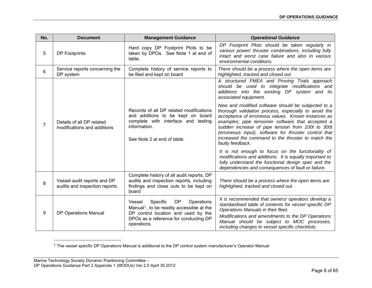| No.            | <b>Document</b>                                               | <b>Management Guidance</b>                                                                                                                                                                            | <b>Operational Guidance</b>                                                                                                                                                                                                                                                                                                                                                                                   |
|----------------|---------------------------------------------------------------|-------------------------------------------------------------------------------------------------------------------------------------------------------------------------------------------------------|---------------------------------------------------------------------------------------------------------------------------------------------------------------------------------------------------------------------------------------------------------------------------------------------------------------------------------------------------------------------------------------------------------------|
| 5              | <b>DP Footprints</b>                                          | Hard copy DP Footprint Plots to be<br>taken by DPOs. See Note 1 at end of<br>table.                                                                                                                   | DP Footprint Plots should be taken regularly in<br>various power/ thruster combinations, including fully<br>intact and worst case failure and also in various<br>environmental conditions.                                                                                                                                                                                                                    |
| 6              | Service reports concerning the<br>DP system                   | Complete history of service reports to<br>be filed and kept on board                                                                                                                                  | There should be a process where the open items are<br>highlighted, tracked and closed out.                                                                                                                                                                                                                                                                                                                    |
|                |                                                               |                                                                                                                                                                                                       | A structured FMEA and Proving Trials approach<br>should be used to integrate modifications and<br>additions into the existing DP system and its<br>associated equipment.                                                                                                                                                                                                                                      |
| $\overline{7}$ | Details of all DP related<br>modifications and additions      | Records of all DP related modifications<br>and additions to be kept on board<br>complete with interface and testing<br>information.<br>See Note 2 at end of table.                                    | New and modified software should be subjected to a<br>thorough validation process, especially to avoid the<br>acceptance of erroneous values. Known instances as<br>examples; pipe tensioner software that accepted a<br>sudden increase of pipe tension from 100t to 300t<br>(erroneous input), software for thruster control that<br>increased the command to the thruster to match the<br>faulty feedback. |
|                |                                                               |                                                                                                                                                                                                       | It is not enough to focus on the functionality of<br>modifications and additions. It is equally important to<br>fully understand the functional design spec and the<br>dependencies and consequences of fault or failure.                                                                                                                                                                                     |
| 8              | Vessel audit reports and DP<br>audits and inspection reports. | Complete history of all audit reports, DP<br>audits and inspection reports, including<br>findings and close outs to be kept on<br>board                                                               | There should be a process where the open items are<br>highlighted, tracked and closed out.                                                                                                                                                                                                                                                                                                                    |
| 9              | <b>DP Operations Manual</b>                                   | <b>DP</b><br>Specific<br>Operations<br>Vessel<br>Manual <sup>1</sup> , to be readily accessible at the<br>DP control location and used by the<br>DPOs as a reference for conducting DP<br>operations. | It is recommended that owners/ operators develop a<br>standardised table of contents for vessel specific DP<br>Operations Manuals in their fleet.<br>Modifications and amendments to the DP Operations<br>Manual should be subject to MOC processes,<br>including changes to vessel specific checklists.                                                                                                      |

<span id="page-7-0"></span> $<sup>1</sup>$  The vessel specific DP Operations Manual is additional to the DP control system manufacturer's Operator Manual</sup>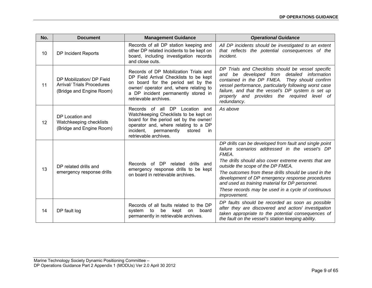| No. | <b>Document</b>                                                                            | <b>Management Guidance</b>                                                                                                                                                                                                      | <b>Operational Guidance</b>                                                                                                                                                                                                                                                                                                                                                                                                                               |
|-----|--------------------------------------------------------------------------------------------|---------------------------------------------------------------------------------------------------------------------------------------------------------------------------------------------------------------------------------|-----------------------------------------------------------------------------------------------------------------------------------------------------------------------------------------------------------------------------------------------------------------------------------------------------------------------------------------------------------------------------------------------------------------------------------------------------------|
| 10  | DP Incident Reports                                                                        | Records of all DP station keeping and<br>other DP related incidents to be kept on<br>board, including investigation records<br>and close outs.                                                                                  | All DP incidents should be investigated to an extent<br>that reflects the potential consequences of the<br>incident.                                                                                                                                                                                                                                                                                                                                      |
| 11  | DP Mobilization/ DP Field<br><b>Arrival/ Trials Procedures</b><br>(Bridge and Engine Room) | Records of DP Mobilization Trials and<br>DP Field Arrival Checklists to be kept<br>on board for the period set by the<br>owner/ operator and, where relating to<br>a DP incident permanently stored in<br>retrievable archives. | DP Trials and Checklists should be vessel specific<br>and be developed from detailed information<br>contained in the DP FMEA.<br>They should confirm<br>vessel performance, particularly following worst case<br>failure, and that the vessel's DP system is set up<br>properly and provides the required level of<br>redundancy.                                                                                                                         |
| 12  | DP Location and<br>Watchkeeping checklists<br>(Bridge and Engine Room)                     | Records of all DP Location and<br>Watchkeeping Checklists to be kept on<br>board for the period set by the owner/<br>operator and, where relating to a DP<br>incident.<br>permanently<br>stored<br>in<br>retrievable archives.  | As above                                                                                                                                                                                                                                                                                                                                                                                                                                                  |
| 13  | DP related drills and<br>emergency response drills                                         | Records of DP related<br>drills and<br>emergency response drills to be kept<br>on board in retrievable archives.                                                                                                                | DP drills can be developed from fault and single point<br>failure scenarios addressed in the vessel's DP<br>FMEA.<br>The drills should also cover extreme events that are<br>outside the scope of the DP FMEA.<br>The outcomes from these drills should be used in the<br>development of DP emergency response procedures<br>and used as training material for DP personnel.<br>These records may be used in a cycle of continuous<br><i>improvement.</i> |
| 14  | DP fault log                                                                               | Records of all faults related to the DP<br>to<br>be<br>kept<br>board<br>system<br>on<br>permanently in retrievable archives.                                                                                                    | DP faults should be recorded as soon as possible<br>after they are discovered and action/ investigation<br>taken appropriate to the potential consequences of<br>the fault on the vessel's station keeping ability.                                                                                                                                                                                                                                       |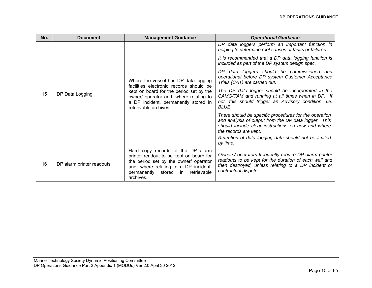| No. | <b>Document</b>           | <b>Management Guidance</b>                                                                                                                                                                                             | <b>Operational Guidance</b>                                                                                                                                                                   |  |  |  |
|-----|---------------------------|------------------------------------------------------------------------------------------------------------------------------------------------------------------------------------------------------------------------|-----------------------------------------------------------------------------------------------------------------------------------------------------------------------------------------------|--|--|--|
|     |                           |                                                                                                                                                                                                                        | DP data loggers perform an important function in<br>helping to determine root causes of faults or failures.                                                                                   |  |  |  |
|     |                           |                                                                                                                                                                                                                        | It is recommended that a DP data logging function is<br>included as part of the DP system design spec.                                                                                        |  |  |  |
|     |                           | Where the vessel has DP data logging<br>facilities electronic records should be                                                                                                                                        | data loggers should be commissioned and<br>DP.<br>operational before DP system Customer Acceptance<br>Trials (CAT) are carried out.                                                           |  |  |  |
| 15  | DP Data Logging           | kept on board for the period set by the<br>owner/ operator and, where relating to<br>a DP incident, permanently stored in<br>retrievable archives.                                                                     | The DP data logger should be incorporated in the<br>CAMO/TAM and running at all times when in DP. If<br>not, this should trigger an Advisory condition, i.e.<br>BLUE.                         |  |  |  |
|     |                           |                                                                                                                                                                                                                        | There should be specific procedures for the operation<br>and analysis of output from the DP data logger. This<br>should include clear instructions on how and where<br>the records are kept.  |  |  |  |
|     |                           |                                                                                                                                                                                                                        | Retention of data logging data should not be limited<br>by time.                                                                                                                              |  |  |  |
| 16  | DP alarm printer readouts | Hard copy records of the DP alarm<br>printer readout to be kept on board for<br>the period set by the owner/ operator<br>and, where relating to a DP incident,<br>permanently<br>stored in<br>retrievable<br>archives. | Owners/ operators frequently require DP alarm printer<br>readouts to be kept for the duration of each well and<br>then destroyed, unless relating to a DP incident or<br>contractual dispute. |  |  |  |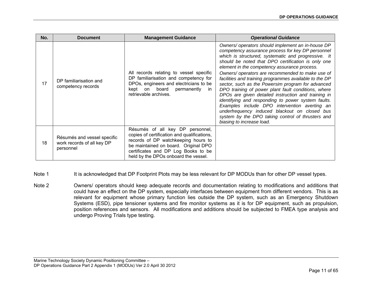| No. | <b>Document</b>                                                        | <b>Management Guidance</b>                                                                                                                                                                                                                    | <b>Operational Guidance</b>                                                                                                                                                                                                                                                                                                                                                                                                                                                                                                                                                                                                                                                                                                                                                                   |
|-----|------------------------------------------------------------------------|-----------------------------------------------------------------------------------------------------------------------------------------------------------------------------------------------------------------------------------------------|-----------------------------------------------------------------------------------------------------------------------------------------------------------------------------------------------------------------------------------------------------------------------------------------------------------------------------------------------------------------------------------------------------------------------------------------------------------------------------------------------------------------------------------------------------------------------------------------------------------------------------------------------------------------------------------------------------------------------------------------------------------------------------------------------|
| 17  | DP familiarisation and<br>competency records                           | All records relating to vessel specific<br>DP familiarisation and competency for<br>DPOs, engineers and electricians to be<br>board permanently<br>on<br>kept<br>in.<br>retrievable archives.                                                 | Owners/operators should implement an in-house DP<br>competency assurance process for key DP personnel<br>which is structured, systematic and progressive. It<br>should be noted that DPO certification is only one<br>element in the competency assurance process.<br>Owners/ operators are recommended to make use of<br>facilities and training programmes available to the DP<br>sector, such as the Powersim program for advanced<br>DPO training of power plant fault conditions, where<br>DPOs are given detailed instruction and training in<br>identifying and responding to power system faults.<br>Examples include DPO intervention averting an<br>underfrequency induced blackout on closed bus<br>system by the DPO taking control of thrusters and<br>biasing to increase load. |
| 18  | Résumés and vessel specific<br>work records of all key DP<br>personnel | Résumés of all key DP personnel,<br>copies of certification and qualifications,<br>records of DP watchkeeping hours to<br>be maintained on board. Original DPO<br>certificates and DP Log Books to be<br>held by the DPOs onboard the vessel. |                                                                                                                                                                                                                                                                                                                                                                                                                                                                                                                                                                                                                                                                                                                                                                                               |

- Note 1 It is acknowledged that DP Footprint Plots may be less relevant for DP MODUs than for other DP vessel types.
- Note 2 **Owners/ operators should keep adequate records and documentation relating to modifications and additions that** could have an effect on the DP system, especially interfaces between equipment from different vendors. This is as relevant for equipment whose primary function lies outside the DP system, such as an Emergency Shutdown Systems (ESD), pipe tensioner systems and fire monitor systems as it is for DP equipment, such as propulsion, position references and sensors. All modifications and additions should be subjected to FMEA type analysis and undergo Proving Trials type testing.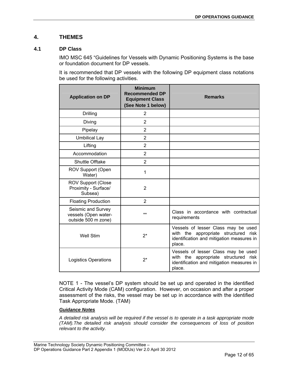## <span id="page-11-0"></span>**4. THEMES**

## <span id="page-11-1"></span>**4.1 DP Class**

IMO MSC 645 "Guidelines for Vessels with Dynamic Positioning Systems is the base or foundation document for DP vessels.

It is recommended that DP vessels with the following DP equipment class notations be used for the following activities.

| <b>Application on DP</b>                                          | <b>Minimum</b><br><b>Recommended DP</b><br><b>Equipment Class</b><br>(See Note 1 below) | <b>Remarks</b>                                                                                                                     |
|-------------------------------------------------------------------|-----------------------------------------------------------------------------------------|------------------------------------------------------------------------------------------------------------------------------------|
| Drilling                                                          | $\overline{2}$                                                                          |                                                                                                                                    |
| Diving                                                            | $\overline{2}$                                                                          |                                                                                                                                    |
| Pipelay                                                           | $\overline{2}$                                                                          |                                                                                                                                    |
| <b>Umbilical Lay</b>                                              | $\overline{2}$                                                                          |                                                                                                                                    |
| Lifting                                                           | $\overline{2}$                                                                          |                                                                                                                                    |
| Accommodation                                                     | $\overline{2}$                                                                          |                                                                                                                                    |
| <b>Shuttle Offtake</b>                                            | $\overline{2}$                                                                          |                                                                                                                                    |
| ROV Support (Open<br>Water)                                       | 1                                                                                       |                                                                                                                                    |
| <b>ROV Support (Close</b><br>Proximity - Surface/<br>Subsea)      | $\overline{2}$                                                                          |                                                                                                                                    |
| <b>Floating Production</b>                                        | $\overline{2}$                                                                          |                                                                                                                                    |
| Seismic and Survey<br>vessels (Open water-<br>outside 500 m zone) | $***$                                                                                   | Class in accordance with contractual<br>requirements                                                                               |
| <b>Well Stim</b>                                                  | $2^*$                                                                                   | Vessels of lesser Class may be used<br>with the appropriate structured risk<br>identification and mitigation measures in<br>place. |
| <b>Logistics Operations</b>                                       | $2^*$                                                                                   | Vessels of lesser Class may be used<br>with the appropriate structured risk<br>identification and mitigation measures in<br>place. |

NOTE 1 - The vessel's DP system should be set up and operated in the identified Critical Activity Mode (CAM) configuration. However, on occasion and after a proper assessment of the risks, the vessel may be set up in accordance with the identified Task Appropriate Mode. (TAM)

## *Guidance Notes*

*A detailed risk analysis will be required if the vessel is to operate in a task appropriate mode (TAM).The detailed risk analysis should consider the consequences of loss of position relevant to the activity.*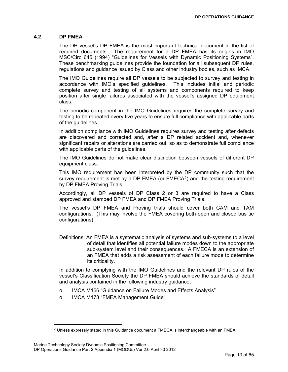## <span id="page-12-0"></span>**4.2 DP FMEA**

The DP vessel's DP FMEA is the most important technical document in the list of required documents. The requirement for a DP FMEA has its origins in IMO MSC/Circ 645 (1994) "Guidelines for Vessels with Dynamic Positioning Systems". These benchmarking guidelines provide the foundation for all subsequent DP rules, regulations and guidance issued by Class and other industry bodies, such as IMCA.

The IMO Guidelines require all DP vessels to be subjected to survey and testing in accordance with IMO's specified guidelines. This includes initial and periodic complete survey and testing of all systems and components required to keep position after single failures associated with the vessel's assigned DP equipment class.

The periodic component in the IMO Guidelines requires the complete survey and testing to be repeated every five years to ensure full compliance with applicable parts of the guidelines.

In addition compliance with IMO Guidelines requires survey and testing after defects are discovered and corrected and, after a DP related accident and, whenever significant repairs or alterations are carried out, so as to demonstrate full compliance with applicable parts of the guidelines.

The IMO Guidelines do not make clear distinction between vessels of different DP equipment class.

This IMO requirement has been interpreted by the DP community such that the survey requirement is met by a DP FMEA (or  $FMECA<sup>2</sup>$  $FMECA<sup>2</sup>$  $FMECA<sup>2</sup>$ ) and the testing requirement by DP FMEA Proving Trials.

Accordingly, all DP vessels of DP Class 2 or 3 are required to have a Class approved and stamped DP FMEA and DP FMEA Proving Trials.

The vessel's DP FMEA and Proving trials should cover both CAM and TAM configurations. (This may involve the FMEA covering both open and closed bus tie configurations)

Definitions: An FMEA is a systematic analysis of systems and sub-systems to a level of detail that identifies all potential failure modes down to the appropriate sub-system level and their consequences. A FMECA is an extension of an FMEA that adds a risk assessment of each failure mode to determine its criticality.

In addition to complying with the IMO Guidelines and the relevant DP rules of the vessel's Classification Society the DP FMEA should achieve the standards of detail and analysis contained in the following industry guidance;

- o IMCA M166 "Guidance on Failure Modes and Effects Analysis"
- o IMCA M178 "FMEA Management Guide"

l

<span id="page-12-1"></span> $2$  Unless expressly stated in this Guidance document a FMECA is interchangeable with an FMEA.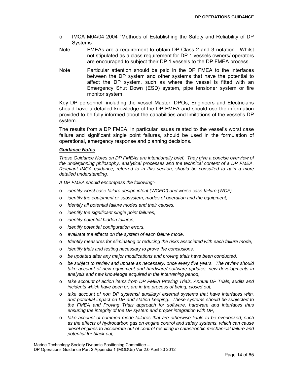- o IMCA M04/04 2004 "Methods of Establishing the Safety and Reliability of DP Systems"
- Note FMEAs are a requirement to obtain DP Class 2 and 3 notation. Whilst not stipulated as a class requirement for DP 1 vessels owners/ operators are encouraged to subject their DP 1 vessels to the DP FMEA process.
- Note Particular attention should be paid in the DP FMEA to the interfaces between the DP system and other systems that have the potential to affect the DP system, such as where the vessel is fitted with an Emergency Shut Down (ESD) system, pipe tensioner system or fire monitor system.

Key DP personnel, including the vessel Master, DPOs, Engineers and Electricians should have a detailed knowledge of the DP FMEA and should use the information provided to be fully informed about the capabilities and limitations of the vessel's DP system.

The results from a DP FMEA, in particular issues related to the vessel's worst case failure and significant single point failures, should be used in the formulation of operational, emergency response and planning decisions.

### *Guidance Notes*

*These Guidance Notes on DP FMEAs are intentionally brief. They give a concise overview of the underpinning philosophy, analytical processes and the technical content of a DP FMEA. Relevant IMCA guidance, referred to in this section, should be consulted to gain a more detailed understanding.* 

*A DP FMEA should encompass the following:-* 

- o *identify worst case failure design intent (WCFDI) and worse case failure (WCF),*
- o *identify the equipment or subsystem, modes of operation and the equipment,*
- o *Identify all potential failure modes and their causes,*
- o *identify the significant single point failures,*
- o *identify potential hidden failures,*
- o *identify potential configuration errors,*
- o *evaluate the effects on the system of each failure mode,*
- o *Identify measures for eliminating or reducing the risks associated with each failure mode,*
- o *identify trials and testing necessary to prove the conclusions,*
- o *be updated after any major modifications and proving trials have been conducted,*
- o *be subject to review and update as necessary, once every five years. The review should take account of new equipment and hardware/ software updates, new developments in analysis and new knowledge acquired in the intervening period,*
- o *take account of action items from DP FMEA Proving Trials, Annual DP Trials, audits and incidents which have been or, are in the process of being, closed out,*
- o *take account of non DP systems/ auxiliary/ external systems that have interfaces with, and potential impact on DP and station keeping. These systems should be subjected to the FMEA and Proving Trials approach for software, hardware and interfaces thus ensuring the integrity of the DP system and proper integration with DP,*
- o *take account of common mode failures that are otherwise liable to be overlooked, such as the effects of hydrocarbon gas on engine control and safety systems, which can cause diesel engines to accelerate out of control resulting in catastrophic mechanical failure and potential for black out,*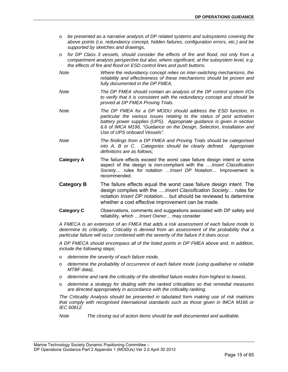- o *be presented as a narrative analysis of DP related systems and subsystems covering the above points (i.e. redundancy concept, hidden failures, configuration errors, etc.) and be supported by sketches and drawings,*
- o *for DP Class 3 vessels, should consider the effects of fire and flood, not only from a compartment analysis perspective but also, where significant, at the subsystem level, e.g. the effects of fire and flood on ESD control lines and push buttons.*
- *Note Where the redundancy concept relies on inter-switching mechanisms, the reliability and effectiveness of these mechanisms should be proven and fully documented in the DP FMEA.*
- *Note The DP FMEA should contain an analysis of the DP control system I/Os to verify that it is consistent with the redundancy concept and should be proved at DP FMEA Proving Trials.*
- *Note The DP FMEA for a DP MODU should address the ESD function, in particular the various issues relating to the status of post activation battery power supplies (UPS). Appropriate guidance is given in section 6.6 of IMCA M196, "Guidance on the Design, Selection, Installation and Use of UPS onboard Vessels".*
- *Note The findings from a DP FMEA and Proving Trials should be categorised into A, B or C. Categories should be clearly defined. Appropriate definitions are as follows;*
- **Category A** The failure effects exceed the worst case failure design intent or some aspect of the design is non-compliant with the *….Insert Classification Society…* rules for notation *…Insert DP Notation…* Improvement is recommended.
- **Category B** The failure effects equal the worst case failure design intent. The design complies with the *….Insert Classification Society…* rules for notation *Insert DP notation…* but should be reviewed to determine whether a cost effective improvement can be made.
- **Category C C** Observations, comments and suggestions associated with DP safety and reliability, which *…Insert Owner…* may consider

*A FMECA is an extension of an FMEA that adds a risk assessment of each failure mode to determine its criticality. Criticality is derived from an assessment of the probability that a particular failure will occur combined with the severity of the failure if it does occur.* 

*A DP FMECA should encompass all of the listed points in DP FMEA above and, in addition, include the following steps;* 

- o *determine the severity of each failure mode,*
- o *determine the probability of occurrence of each failure mode (using qualitative or reliable MTBF data),*
- o *determine and rank the criticality of the identified failure modes from highest to lowest,*
- o *determine a strategy for dealing with the ranked criticalities so that remedial measures are directed appropriately in accordance with the criticality ranking.*

*The Criticality Analysis should be presented in tabulated form making use of risk matrices that comply with recognised international standards such as those given in IMCA M166 or IEC 60812.* 

*Note The closing out of action items should be well documented and auditable.*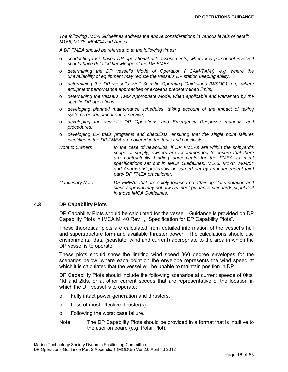*The following IMCA Guidelines address the above considerations in various levels of detail; M166, M178, M04/04 and Annex.* 

*A DP FMEA should be referred to at the following times;* 

- o *conducting task based DP operational risk assessments, where key personnel involved should have detailed knowledge of the DP FMEA,*
- o *determining the DP vessel's Mode of Operation ( CAM/TAM)), e.g. where the unavailability of equipment may reduce the vessel's DP station keeping ability,*
- o *determining the DP vessel's Well Specific Operating Guidelines (WSOG), e.g. where equipment performance approaches or exceeds predetermined limits,*
- o *determining the vessel's Task Appropriate Mode, when applicable and warranted by the specific DP operations,*
- o *developing planned maintenance schedules, taking account of the impact of taking systems or equipment out of service,*
- o *developing the vessel's DP Operations and Emergency Response manuals and procedures,*
- o *developing DP trials programs and checklists, ensuring that the single point failures identified in the DP FMEA are covered in the trials and checklists.*
- *Note to Owners In the case of newbuilds, if DP FMEAs are within the shipyard's scope of supply, owners are recommended to ensure that there are contractually binding agreements for the FMEA to meet specifications set out in IMCA Guidelines, M166. M178, M04/04 and Annex and preferably be carried out by an independent third party DP FMEA practitioner.*
- *Cautionary Note DP FMEAs that are solely focused on attaining class notation and class approval may not always meet guidance standards stipulated in those IMCA Guidelines.*

## <span id="page-15-0"></span>**4.3 DP Capability Plots**

DP Capability Plots should be calculated for the vessel. Guidance is provided on DP Capability Plots in IMCA M140 Rev 1, "Specification for DP Capability Plots".

These theoretical plots are calculated from detailed information of the vessel's hull and superstructure form and available thruster power. The calculations should use environmental data (seastate, wind and current) appropriate to the area in which the DP vessel is to operate.

These plots should show the limiting wind speed 360 degree envelopes for the scenarios below, where each point on the envelope represents the wind speed at which it is calculated that the vessel will be unable to maintain position in DP.

DP Capability Plots should include the following scenarios at current speeds of 0kts, 1kt and 2kts, or at other current speeds that are representative of the location in which the DP vessel is to operate:

- o Fully intact power generation and thrusters.
- o Loss of most effective thruster(s).
- o Following the worst case failure.
- Note The DP Capability Plots should be provided in a format that is intuitive to the user on board (e.g. Polar Plot).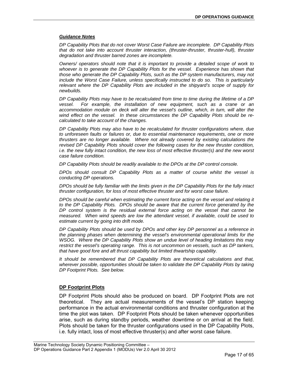## *Guidance Notes*

*DP Capability Plots that do not cover Worst Case Failure are incomplete. DP Capability Plots that do not take into account thruster interaction, (thruster-thruster, thruster-hull), thruster degradation and thruster barred zones are incomplete.* 

*Owners/ operators should note that it is important to provide a detailed scope of work to whoever is to generate the DP Capability Plots for the vessel. Experience has shown that those who generate the DP Capability Plots, such as the DP system manufacturers, may not include the Worst Case Failure, unless specifically instructed to do so. This is particularly relevant where the DP Capability Plots are included in the shipyard's scope of supply for newbuilds.* 

*DP Capability Plots may have to be recalculated from time to time during the lifetime of a DP vessel. For example, the installation of new equipment, such as a crane or an accommodation module on deck will alter the vessel's outline, which, in turn, will alter the wind effect on the vessel. In these circumstances the DP Capability Plots should be recalculated to take account of the changes.* 

*DP Capability Plots may also have to be recalculated for thruster configurations where, due to unforeseen faults or failures or, due to essential maintenance requirements, one or more thrusters are no longer available. Where not already covered by existing calculations the revised DP Capability Plots should cover the following cases for the new thruster condition, i.e. the new fully intact condition, the new loss of most effective thruster(s) and the new worst case failure condition.* 

*DP Capability Plots should be readily available to the DPOs at the DP control console.* 

*DPOs should consult DP Capability Plots as a matter of course whilst the vessel is conducting DP operations.* 

*DPOs should be fully familiar with the limits given in the DP Capability Plots for the fully intact thruster configuration, for loss of most effective thruster and for worst case failure.* 

*DPOs should be careful when estimating the current force acting on the vessel and relating it to the DP Capability Plots. DPOs should be aware that the current force generated by the DP control system is the residual external force acting on the vessel that cannot be measured. When wind speeds are low the attendant vessel, if available, could be used to estimate current by going into drift mode.* 

*DP Capability Plots should be used by DPOs and other key DP personnel as a reference in the planning phases when determining the vessel's environmental operational limits for the WSOG. Where the DP Capability Plots show an undue level of heading limitations this may restrict the vessel's operating range. This is not uncommon on vessels, such as DP tankers, that have good fore and aft thrust capability but limited thwartship capability.* 

*It should be remembered that DP Capability Plots are theoretical calculations and that, wherever possible, opportunities should be taken to validate the DP Capability Plots by taking DP Footprint Plots. See below.* 

## **DP Footprint Plots**

DP Footprint Plots should also be produced on board. DP Footprint Plots are not theoretical. They are actual measurements of the vessel's DP station keeping performance in the actual environmental conditions and thruster configuration at the time the plot was taken. DP Footprint Plots should be taken whenever opportunities arise, such as during standby periods, weather downtime or on arrival at the field. Plots should be taken for the thruster configurations used in the DP Capability Plots, i.e. fully intact, loss of most effective thruster(s) and after worst case failure.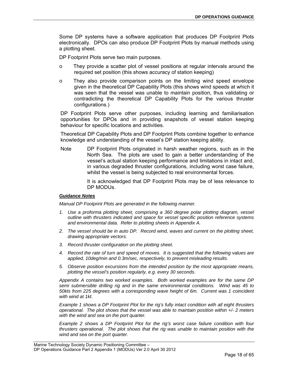Some DP systems have a software application that produces DP Footprint Plots electronically. DPOs can also produce DP Footprint Plots by manual methods using a plotting sheet.

DP Footprint Plots serve two main purposes.

- o They provide a scatter plot of vessel positions at regular intervals around the required set position (this shows accuracy of station keeping)
- o They also provide comparison points on the limiting wind speed envelope given in the theoretical DP Capability Plots (this shows wind speeds at which it was seen that the vessel was unable to maintain position, thus validating or contradicting the theoretical DP Capability Plots for the various thruster configurations.)

DP Footprint Plots serve other purposes, including learning and familiarisation opportunities for DPOs and in providing snapshots of vessel station keeping behaviour for specific locations and activities.

Theoretical DP Capability Plots and DP Footprint Plots combine together to enhance knowledge and understanding of the vessel's DP station keeping ability.

Note DP Footprint Plots originated in harsh weather regions, such as in the North Sea. The plots are used to gain a better understanding of the vessel's actual station keeping performance and limitations in intact and, in various degraded thruster configurations, including worst case failure, whilst the vessel is being subjected to real environmental forces.

> It is acknowledged that DP Footprint Plots may be of less relevance to DP MODUs.

### *Guidance Notes*

*Manual DP Footprint Plots are generated in the following manner.* 

- *1. Use a proforma plotting sheet, comprising a 360 degree polar plotting diagram, vessel outline with thrusters indicated and space for vessel specific position reference systems and environmental data. Refer to plotting sheets in Appendix A.*
- *2. The vessel should be in auto DP. Record wind, waves and current on the plotting sheet, drawing appropriate vectors.*
- *3. Record thruster configuration on the plotting sheet.*
- *4. Record the rate of turn and speed of moves. It is suggested that the following values are applied, 10deg/min and 0.3m/sec, respectively, to prevent misleading results.*
- *5. Observe position excursions from the intended position by the most appropriate means, plotting the vessel's position regularly, e.g. every 30 seconds.*

*Appendix A contains two worked examples. Both worked examples are for the same DP semi submersible drilling rig and in the same environmental conditions. Wind was 45 to 50kts from 225 degrees with a corresponding wave height of 6m. Current was 1 coincident with wind at 1kt.* 

*Example 1 shows a DP Footprint Plot for the rig's fully intact condition with all eight thrusters operational. The plot shows that the vessel was able to maintain position within +/- 2 meters with the wind and sea on the port quarter.* 

*Example 2 shows a DP Footprint Plot for the rig's worst case failure condition with four thrusters operational. The plot shows that the rig was unable to maintain position with the wind and sea on the port quarter.*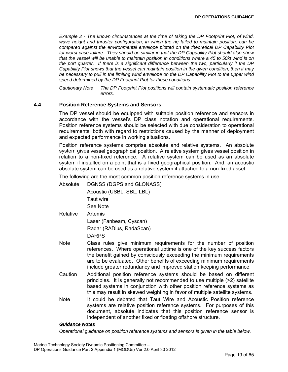*Example 2 - The known circumstances at the time of taking the DP Footprint Plot, of wind, wave height and thruster configuration, in which the rig failed to maintain position, can be compared against the environmental envelope plotted on the theoretical DP Capability Plot for worst case failure. They should be similar in that the DP Capability Plot should also show that the vessel will be unable to maintain position in conditions where a 45 to 50kt wind is on the port quarter. If there is a significant difference between the two, particularly if the DP Capability Plot shows that the vessel can maintain position in the given condition, then it may be necessary to pull in the limiting wind envelope on the DP Capability Plot to the upper wind speed determined by the DP Footprint Plot for these conditions.* 

*Cautionary Note The DP Footprint Plot positions will contain systematic position reference errors.* 

## <span id="page-18-0"></span>**4.4 Position Reference Systems and Sensors**

The DP vessel should be equipped with suitable position reference and sensors in accordance with the vessel's DP class notation and operational requirements. Position reference systems should be selected with due consideration to operational requirements, both with regard to restrictions caused by the manner of deployment and expected performance in working situations.

Position reference systems comprise absolute and relative systems. An absolute system gives vessel geographical position. A relative system gives vessel position in relation to a non-fixed reference. A relative system can be used as an absolute system if installed on a point that is a fixed geographical position. And, an acoustic absolute system can be used as a relative system if attached to a non-fixed asset.

The following are the most common position reference systems in use.

- Absolute DGNSS (DGPS and GLONASS) Acoustic (USBL, SBL, LBL) Taut wire See Note
- Relative Artemis Laser (Fanbeam, Cyscan) Radar (RADius, RadaScan) DARPS
- Note Class rules give minimum requirements for the number of position references. Where operational uptime is one of the key success factors the benefit gained by consciously exceeding the minimum requirements are to be evaluated. Other benefits of exceeding minimum requirements include greater redundancy and improved station keeping performance.
- Caution Additional position reference systems should be based on different principles. It is generally not recommended to use multiple (>2) satellite based systems in conjunction with other position reference systems as this may result in skewed weighting in favor of multiple satellite systems.
- Note It could be debated that Taut Wire and Acoustic Position reference systems are relative position reference systems. For purposes of this document, absolute indicates that this position reference sensor is independent of another fixed or floating offshore structure.

## *Guidance Notes*

*Operational guidance on position reference systems and sensors is given in the table below.*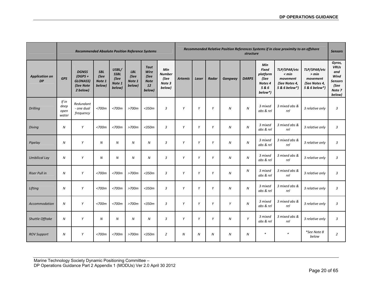|                                    |                                | <b>Recommended Absolute Position Reference Systems</b>                |                                        |                                                  |                                        |                                                            |                                                  |                |       | Recommended Relative Position References Systems if in close proximity to an offshore<br>structure |                  |                  |                                                                                 |                                                                     |                                                                     | <b>Sensors</b>                                                                     |
|------------------------------------|--------------------------------|-----------------------------------------------------------------------|----------------------------------------|--------------------------------------------------|----------------------------------------|------------------------------------------------------------|--------------------------------------------------|----------------|-------|----------------------------------------------------------------------------------------------------|------------------|------------------|---------------------------------------------------------------------------------|---------------------------------------------------------------------|---------------------------------------------------------------------|------------------------------------------------------------------------------------|
| <b>Application on</b><br><b>DP</b> | <b>GPS</b>                     | <b>DGNSS</b><br>$(DGPS +$<br><b>GLONASS)</b><br>(See Note<br>2 below) | <b>SBL</b><br>(See<br>Note 1<br>below) | USBL/<br><b>SSBL</b><br>(See<br>Note 1<br>below) | <b>LBL</b><br>(See<br>Note 1<br>below) | <b>Taut</b><br>Wire<br>(See<br><b>Note</b><br>12<br>below) | Min<br><b>Number</b><br>(See<br>Note 3<br>below) | <b>Artemis</b> | Laser | Radar                                                                                              | Gangway          | <b>DARPS</b>     | Min<br><b>Fixed</b><br>platform<br>(See<br>Notes <sub>4</sub><br>5&6<br>below*) | TLP/SPAR/etc<br>< min<br>movement<br>(See Notes 4,<br>5 & 6 below*) | TLP/SPAR/etc<br>> min<br>movement<br>(See Notes 4,<br>5 & 6 below*) | Gyros,<br><b>VRUs</b><br>and<br>Wind<br><b>Sensors</b><br>(See<br>Note 7<br>below) |
| <b>Drilling</b>                    | If in<br>deep<br>open<br>water | Redundant<br>- one dual<br>frequency                                  | $<$ 700 $m$                            | $<$ 700 $m$                                      | $>700m$                                | $<$ 350 $m$                                                | $\overline{3}$                                   | Y              | Y     | Y                                                                                                  | $\boldsymbol{N}$ | $\boldsymbol{N}$ | 3 mixed<br>abs & rel                                                            | 3 mixed abs &<br>rel                                                | 3 relative only                                                     | $\overline{3}$                                                                     |
| <b>Diving</b>                      | N                              | Y                                                                     | $<$ 700 $m$                            | $<$ 700 $m$                                      | $>700m$                                | $<$ 350 $m$                                                | $\overline{3}$                                   | Y              | Y     | Y                                                                                                  | ${\cal N}$       | N                | 3 mixed<br>abs & rel                                                            | 3 mixed abs &<br>rel                                                | 3 relative only                                                     | $\mathbf{3}$                                                                       |
| Pipelay                            | $\boldsymbol{N}$               | Y                                                                     | $\boldsymbol{N}$                       | $\boldsymbol{N}$                                 | $\boldsymbol{N}$                       | $\boldsymbol{N}$                                           | $\overline{3}$                                   | Y              | Y     | Y                                                                                                  | ${\cal N}$       | ${\cal N}$       | 3 mixed<br>abs & rel                                                            | 3 mixed abs &<br>rel                                                | 3 relative only                                                     | $\overline{3}$                                                                     |
| <b>Umbilical Lay</b>               | $\boldsymbol{N}$               | Y                                                                     | Ν                                      | ${\cal N}$                                       | N                                      | $\boldsymbol{N}$                                           | 3                                                | Y              | Y     | Y                                                                                                  | N                | N                | 3 mixed<br>abs & rel                                                            | 3 mixed abs &<br>rel                                                | 3 relative only                                                     | $\mathbf{3}$                                                                       |
| <b>Riser Pull in</b>               | $\boldsymbol{N}$               | Y                                                                     | $<$ 700 $m$                            | $<$ 700 $m$                                      | >700m                                  | $<$ 350 $m$                                                | $\overline{3}$                                   | Y              | Y     | Y                                                                                                  | ${\cal N}$       | N                | 3 mixed<br>abs & rel                                                            | 3 mixed abs &<br>rel                                                | 3 relative only                                                     | $\overline{3}$                                                                     |
| Lifting                            | $\boldsymbol{N}$               | Y                                                                     | $<$ 700 $m$                            | $<$ 700 $m$                                      | >700m                                  | $<$ 350 $m$                                                | $\overline{3}$                                   | Y              | Y     | Y                                                                                                  | ${\cal N}$       | N                | 3 mixed<br>abs & rel                                                            | 3 mixed abs &<br>rel                                                | 3 relative only                                                     | $\mathbf{3}$                                                                       |
| <b>Accommodation</b>               | $\boldsymbol{N}$               | Y                                                                     | $<$ 700 $m$                            | <700m                                            | $>700m$                                | $<$ 350 $m$                                                | $\overline{3}$                                   | Y              | Y     | Y                                                                                                  | Y                | $\boldsymbol{N}$ | 3 mixed<br>abs & rel                                                            | 3 mixed abs &<br>rel                                                | 3 relative only                                                     | $\overline{3}$                                                                     |
| Shuttle Offtake                    | N                              | Y                                                                     | $\boldsymbol{N}$                       | $\boldsymbol{N}$                                 | $\boldsymbol{N}$                       | $\boldsymbol{N}$                                           | 3                                                | Υ              | Y     | Y                                                                                                  | N                | Y                | 3 mixed<br>abs & rel                                                            | 3 mixed abs &<br>rel                                                | 3 relative only                                                     | $\overline{3}$                                                                     |
| <b>ROV Support</b>                 | ${\cal N}$                     | Y                                                                     | <700m                                  | $<$ 700 $m$                                      | >700m                                  | $<$ 350 $m$                                                | $\overline{2}$                                   | ${\cal N}$     | Ν     | $\boldsymbol{N}$                                                                                   | N                | N                | $\ast$                                                                          | $\ast$                                                              | *See Note 8<br>below                                                | $\overline{2}$                                                                     |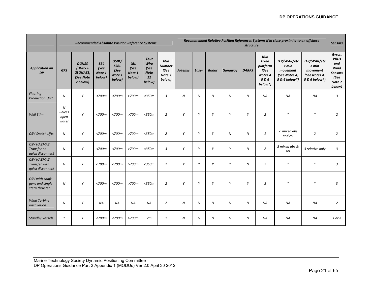|                                                        |                              | <b>Recommended Absolute Position Reference Systems</b>                |                                        |                                                  |                                        |                                                            |                                                  |                  |                  | Recommended Relative Position References Systems if in close proximity to an offshore<br>structure |                  |                  |                                                                                 |                                                                     |                                                                     |                                                                                    |
|--------------------------------------------------------|------------------------------|-----------------------------------------------------------------------|----------------------------------------|--------------------------------------------------|----------------------------------------|------------------------------------------------------------|--------------------------------------------------|------------------|------------------|----------------------------------------------------------------------------------------------------|------------------|------------------|---------------------------------------------------------------------------------|---------------------------------------------------------------------|---------------------------------------------------------------------|------------------------------------------------------------------------------------|
| <b>Application on</b><br><b>DP</b>                     | <b>GPS</b>                   | <b>DGNSS</b><br>$IDGPS +$<br><b>GLONASS)</b><br>(See Note<br>2 below) | <b>SBL</b><br>(See<br>Note 1<br>below) | USBL/<br><b>SSBL</b><br>(See<br>Note 1<br>below) | <b>LBL</b><br>(See<br>Note 1<br>below) | Taut<br>Wire<br>(See<br><b>Note</b><br><b>12</b><br>below) | Min<br><b>Number</b><br>(See<br>Note 3<br>below) | <b>Artemis</b>   | Laser            | Radar                                                                                              | Gangway          | <b>DARPS</b>     | Min<br><b>Fixed</b><br>platform<br>(See<br>Notes <sub>4</sub><br>5&6<br>below*) | TLP/SPAR/etc<br>< min<br>movement<br>(See Notes 4,<br>5 & 6 below*) | TLP/SPAR/etc<br>> min<br>movement<br>(See Notes 4,<br>5 & 6 below*) | Gyros,<br><b>VRUs</b><br>and<br>Wind<br><b>Sensors</b><br>(See<br>Note 7<br>below) |
| Floating<br><b>Production Unit</b>                     | $\boldsymbol{N}$             | Y                                                                     | $<$ 700 $m$                            | $<$ 700 $m$                                      | $>700m$                                | $<$ 350 $m$                                                | $\mathbf{3}$                                     | $\boldsymbol{N}$ | $\boldsymbol{N}$ | $\boldsymbol{N}$                                                                                   | $\boldsymbol{N}$ | $\boldsymbol{N}$ | <b>NA</b>                                                                       | NA                                                                  | <b>NA</b>                                                           | 3                                                                                  |
| <b>Well Stim</b>                                       | N<br>unless<br>open<br>water | Y                                                                     | $<$ 700 $m$                            | $<$ 700 $m$                                      | $>700m$                                | $<$ 350 $m$                                                | $\overline{2}$                                   | Y                | Y                | Y                                                                                                  | Y                | Y                | $\overline{2}$                                                                  | $\ast$                                                              | $\ast$                                                              | $\overline{2}$                                                                     |
| <b>OSV Snatch Lifts</b>                                | $\boldsymbol{N}$             | Y                                                                     | $<$ 700 $m$                            | $<$ 700 $m$                                      | $>700m$                                | $<$ 350 $m$                                                | $\overline{2}$                                   | Y                | Y                | Y                                                                                                  | $\boldsymbol{N}$ | $\boldsymbol{N}$ | $\mathbf{1}$                                                                    | 2 mixed abs<br>and rel                                              | $\overline{2}$                                                      | $\overline{2}$                                                                     |
| <b>OSV HAZMAT</b><br>Transfer no<br>quick disconnect   | $\boldsymbol{N}$             | Y                                                                     | $<$ 700 $m$                            | $<$ 700 $m$                                      | $>700m$                                | $<$ 350 $m$                                                | $\overline{3}$                                   | Y                | Y                | Y                                                                                                  | Y                | $\boldsymbol{N}$ | $\overline{2}$                                                                  | 3 mixed abs &<br>rel                                                | 3 relative only                                                     | 3                                                                                  |
| <b>OSV HAZMAT</b><br>Transfer with<br>quick disconnect | $\boldsymbol{N}$             | Y                                                                     | $<$ 700 $m$                            | $<$ 700 $m$                                      | $>700m$                                | $<$ 350 $m$                                                | $\overline{2}$                                   | Y                | Y                | Y                                                                                                  | Y                | $\boldsymbol{N}$ | $\overline{2}$                                                                  | $\ast$                                                              | $\ast$                                                              | $\overline{3}$                                                                     |
| OSV with shaft<br>gens and single<br>stern thruster    | $\boldsymbol{N}$             | Y                                                                     | $<$ 700 $m$                            | $<$ 700 $m$                                      | $>700m$                                | $<$ 350 $m$                                                | $\overline{2}$                                   | Y                | Y                | Y                                                                                                  | Y                | Y                | 3                                                                               | $\ast$                                                              | $\ast$                                                              | 3                                                                                  |
| <b>Wind Turbine</b><br>installation                    | N                            | Y                                                                     | <b>NA</b>                              | <b>NA</b>                                        | <b>NA</b>                              | <b>NA</b>                                                  | $\overline{2}$                                   | $\boldsymbol{N}$ | N                | $\boldsymbol{N}$                                                                                   | $\boldsymbol{N}$ | $\boldsymbol{N}$ | <b>NA</b>                                                                       | <b>NA</b>                                                           | <b>NA</b>                                                           | $\overline{2}$                                                                     |
| <b>Standby Vessels</b>                                 | Y                            | Y                                                                     | $<$ 700 $m$                            | $<$ 700 $m$                                      | >700m                                  | $\leq m$                                                   | 1                                                | $\boldsymbol{N}$ | N                | $\boldsymbol{N}$                                                                                   | $\boldsymbol{N}$ | $\boldsymbol{N}$ | NA                                                                              | <b>NA</b>                                                           | <b>NA</b>                                                           | 1 or $<$                                                                           |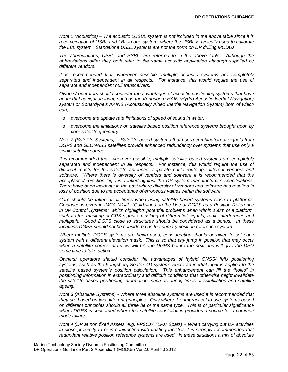*Note 1 (Acoustics) – The acoustic LUSBL system is not included in the above table since it is a combination of USBL and LBL in one system, where the USBL is typically used to calibrate the LBL system. Standalone USBL systems are not the norm on DP drilling MODUs.* 

*The abbreviations, USBL and SSBL, are referred to in the above table. Although the abbreviations differ they both refer to the same acoustic application although supplied by different vendors.* 

*It is recommended that, wherever possible, multiple acoustic systems are completely separated and independent in all respects. For instance, this would require the use of separate and independent hull transceivers.* 

*Owners/ operators should consider the advantages of acoustic positioning systems that have an inertial navigation input, such as the Kongsberg HAIN (Hydro Acoustic Inertial Navigation) system or Sonardyne's AAINS (Acoustically Aided Inertial Navigation System) both of which can,* 

- o *overcome the update rate limitations of speed of sound in water,*
- o *overcome the limitations on satellite based position reference systems brought upon by poor satellite geometry.*

*Note 2 (Satellite Systems) – Satellite based systems that use a combination of signals from DGPS and GLONASS satellites provide enhanced redundancy over systems that use only a single satellite source.* 

*It is recommended that, wherever possible, multiple satellite based systems are completely separated and independent in all respects. For instance, this would require the use of different masts for the satellite antennae, separate cable routeing, different vendors and software. Where there is diversity of vendors and software it is recommended that the acceptance/ rejection logic is verified against the DP system manufacturer's specifications. There have been incidents in the past where diversity of vendors and software has resulted in*  loss of position due to the acceptance of erroneous values within the software.

*Care should be taken at all times when using satellite based systems close to platforms. Guidance is given in IMCA M141, "Guidelines on the Use of DGPS as a Position Reference in DP Control Systems", which highlights potential problems when within 150m of a platform, such as the masking of GPS signals, masking of differential signals, radio interference and multipath. Good DGPS close to structures should be considered as a bonus. In these locations DGPS should not be considered as the primary position reference system.* 

*Where multiple DGPS systems are being used, consideration should be given to set each system with a different elevation mask. This is so that any jump in position that may occur when a satellite comes into view will hit one DGPS before the next and will give the DPO some time to take action.* 

*Owners/ operators should consider the advantages of hybrid GNSS/ IMU positioning systems, such as the Kongsberg Seatex 4D system, where an inertial input is applied to the satellite based system's position calculation. This enhancement can fill the "holes" in positioning information in extraordinary and difficult conditions that otherwise might invalidate the satellite based positioning information, such as during times of scintillation and satellite ageing.* 

*Note 3 (Absolute Systems) - Where three absolute systems are used it is recommended that they are based on two different principles. Only where it is impractical to use systems based on different principles should all three be of the same type. This is of particular significance where DGPS is concerned where the satellite constellation provides a source for a common mode failure.* 

*Note 4 (DP at non fixed Assets, e.g. FPSOs/ TLPs/ Spars) – When carrying out DP activities in close proximity to or in conjunction with floating facilities it is strongly recommended that redundant relative position reference systems are used. In these situations a mix of absolute*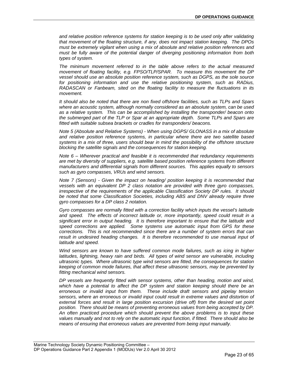*and relative position reference systems for station keeping is to be used only after validating that movement of the floating structure, if any, does not impact station keeping. The DPOs must be extremely vigilant when using a mix of absolute and relative position references and must be fully aware of the potential danger of diverging positioning information from both types of system.* 

*The minimum movement referred to in the table above refers to the actual measured movement of floating facility, e.g. FPSO/TLP/SPAR. To measure this movement the DP vessel should use an absolute position reference system, such as DGPS, as the sole source*  for positioning information and use the relative positioning system, such as RADius, *RADASCAN or Fanbeam, sited on the floating facility to measure the fluctuations in its movement.* 

*It should also be noted that there are non fixed offshore facilities, such as TLPs and Spars where an acoustic system, although normally considered as an absolute system, can be used as a relative system. This can be accomplished by installing the transponder/ beacon onto the submerged part of the TLP or Spar at an appropriate depth. Some TLPs and Spars are fitted with suitable subsea brackets or cradles for transponders/ beacons.* 

*Note 5 (Absolute and Relative Systems) - When using DGPS/ GLONASS in a mix of absolute and relative position reference systems, in particular where there are two satellite based systems in a mix of three, users should bear in mind the possibility of the offshore structure blocking the satellite signals and the consequences for station keeping.* 

*Note 6 – Wherever practical and feasible it is recommended that redundancy requirements are met by diversity of suppliers, e.g. satellite based position reference systems from different manufacturers and differential signals from different sources. This applies equally to sensors such as gyro compasses, VRUs and wind sensors.* 

*Note 7 (Sensors) - Given the impact on heading/ position keeping it is recommended that vessels with an equivalent DP 2 class notation are provided with three gyro compasses, irrespective of the requirements of the applicable Classification Society DP rules. It should be noted that some Classification Societies, including ABS and DNV already require three gyro compasses for a DP class 2 notation.* 

*Gyro compasses are normally fitted with a correction facility which inputs the vessel's latitude and speed. The effects of incorrect latitude or, more importantly, speed could result in a significant error in output heading. It is therefore important to ensure that the latitude and speed corrections are applied. Some systems use automatic input from GPS for these corrections. This is not recommended since there are a number of system errors that can*  result in undesired heading changes. It is therefore recommended to use manual input of *latitude and speed.* 

*Wind sensors are known to have suffered common mode failures, such as icing in higher*  latitudes, lightning, heavy rain and birds. All types of wind sensor are vulnerable, including *ultrasonic types. Where ultrasonic type wind sensors are fitted, the consequences for station keeping of common mode failures, that affect these ultrasonic sensors, may be prevented by fitting mechanical wind sensors.* 

*DP vessels are frequently fitted with sensor systems, other than heading, motion and wind, which have a potential to affect the DP system and station keeping should there be an erroneous or invalid input from them. These include draft sensors and pipelay tension*  sensors, where an erroneous or invalid input could result in extreme values and distortion of *external forces and result in large position excursion (drive off) from the desired set point position. There should be means of preventing erroneous values from being accepted by DP. An often practiced procedure which should prevent the above problems is to input these values manually and not to rely on the automatic input function, if fitted. There should also be means of ensuring that erroneous values are prevented from being input manually.*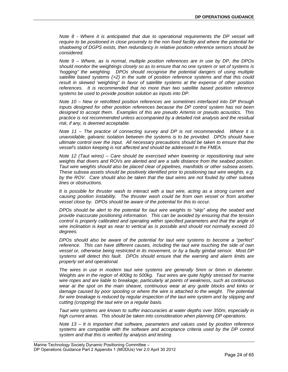*Note 8 - Where it is anticipated that due to operational requirements the DP vessel will require to be positioned in close proximity to the non fixed facility and where the potential for shadowing of DGPS exists, then redundancy in relative position reference sensors should be considered.* 

*Note 9 – Where, as is normal, multiple position references are in use by DP, the DPOs should monitor the weightings closely so as to ensure that no one system or set of systems is 'hogging" the weighting. DPOs should recognise the potential dangers of using multiple satellite based systems (>2) in the suite of position reference systems and that this could result in skewed 'weighting" in favor of satellite systems at the expense of other position references. It is recommended that no more than two satellite based position reference systems be used to provide position solution as inputs into DP.* 

*Note 10 – New or retrofitted position references are sometimes interfaced into DP through inputs designed for other position references because the DP control system has not been designed to accept them. Examples of this are pseudo Artemis or pseudo acoustics. This practice is not recommended unless accompanied by a detailed risk analysis and the residual risk, if any, is deemed acceptable.* 

*Note 11 – The practice of connecting survey and DP is not recommended. Where it is unavoidable, galvanic isolation between the systems is to be provided. DPOs should have ultimate control over the input. All necessary precautions should be taken to ensure that the vessel's station keeping is not affected and should be addressed in the FMEA.* 

*Note 12 (Taut wires) – Care should be exercised when lowering or repositioning taut wire weights that divers and ROVs are alerted and are a safe distance from the seabed position. Taut wire weights should also be placed clear of pipelines, manifolds or other subsea assets. These subsea assets should be positively identified prior to positioning taut wire weights, e.g. by the ROV. Care should also be taken that the taut wires are not fouled by other subsea lines or obstructions.* 

*It is possible for thruster wash to interact with a taut wire, acting as a strong current and causing position instability. The thruster wash could be from own vessel or from another vessel close by. DPOs should be aware of the potential for this to occur.* 

*DPOs should be alert to the potential for taut wire weights to "skip" along the seabed and provide inaccurate positioning information. This can be avoided by ensuring that the tension*  control is properly calibrated and operating within specified parameters and that the angle of *wire inclination is kept as near to vertical as is possible and should not normally exceed 10 degrees.* 

*DPOs should also be aware of the potential for taut wire systems to become a "perfect" reference. This can have different causes, including the taut wire touching the side of own vessel or, otherwise being restricted in its movement, or by a faulty gimbal sensor. Most DP systems will detect this fault. DPOs should ensure that the warning and alarm limits are properly set and operational.* 

*The wires in use in modern taut wire systems are generally 5mm or 6mm in diameter. Weights are in the region of 400kg to 500kg. Taut wires are quite highly stressed for marine wire ropes and are liable to breakage, particularly at points of weakness, such as continuous wear at the spot on the main sheave, continuous wear at any guide blocks and kinks or damage caused by poor spooling or where the wire is attached to the weight. The potential* for wire breakage is reduced by regular inspection of the taut wire system and by slipping and *cutting (cropping) the taut wire on a regular basis.* 

*Taut wire systems are known to suffer inaccuracies at water depths over 350m, especially in high current areas. This should be taken into consideration when planning DP operations.* 

*Note 13 – It is important that software, parameters and values used by position reference systems are compatible with the software and acceptance criteria used by the DP control system and that this is verified by analysis and testing.*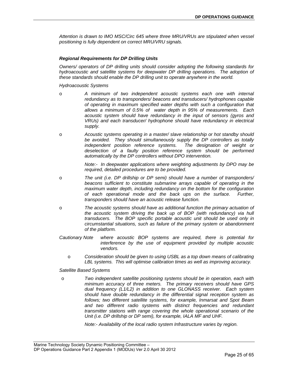*Attention is drawn to IMO MSC/Circ 645 where three MRU/VRUs are stipulated when vessel positioning is fully dependent on correct MRU/VRU signals.* 

## *Regional Requirements for DP Drilling Units*

*Owners/ operators of DP drilling units should consider adopting the following standards for*  hydroacoustic and satellite systems for deepwater DP drilling operations. The adoption of *these standards should enable the DP drilling unit to operate anywhere in the world.* 

*Hydroacoustic Systems* 

- o *A minimum of two independent acoustic systems each one with internal redundancy as to transponders/ beacons and transducers/ hydrophones capable of operating in maximum specified water depths with such a configuration that allows a minimum of 0.5% of water depth in 95% of measurements. Each acoustic system should have redundancy in the input of sensors (gyros and VRUs) and each transducer/ hydrophone should have redundancy in electrical supply.*
- o *Acoustic systems operating in a master/ slave relationship or hot standby should be avoided. They should simultaneously supply the DP controllers as totally independent position reference systems. The designation of weight or deselection of a faulty position reference system should be performed automatically by the DP controllers without DPO intervention.*

*Note:- In deepwater applications where weighting adjustments by DPO may be required, detailed procedures are to be provided.* 

- o *The unit (i.e. DP drillship or DP semi) should have a number of transponders/ beacons sufficient to constitute submarine arrays capable of operating in the maximum water depth, including redundancy on the bottom for the configuration of each operational mode and the back ups on the surface. Further, transponders should have an acoustic release function.*
- o *The acoustic systems should have as additional function the primary actuation of the acoustic system driving the back up of BOP (with redundancy) via hull transducers. The BOP specific portable acoustic unit should be used only in circumstantial situations, such as failure of the primary system or abandonment of the platform.*
- *Cautionary Note where acoustic BOP systems are required, there is potential for interference by the use of equipment provided by multiple acoustic vendors.* 
	- o *Consideration should be given to using USBL as a top down means of calibrating LBL systems. This will optimise calibration times as well as improving accuracy.*

*Satellite Based Systems* 

o *Two independent satellite positioning systems should be in operation, each with minimum accuracy of three meters. The primary receivers should have GPS dual frequency (L1/L2) in addition to one GLONASS receiver. Each system should have double redundancy in the differential signal reception system as follows; two different satellite systems, for example, Inmarsat and Spot Beam and two different radio systems with distinct frequencies and redundant transmitter stations with range covering the whole operational scenario of the Unit (i.e. DP drillship or DP semi), for example, IALA MF and UHF.* 

*Note:- Availability of the local radio system Infrastructure varies by region.*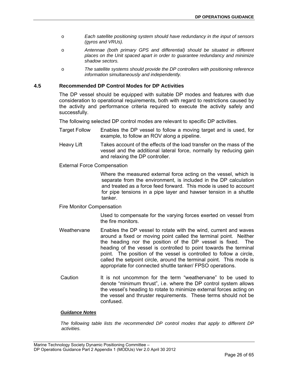- o *Each satellite positioning system should have redundancy in the input of sensors (gyros and VRUs).*
- o *Antennae (both primary GPS and differential) should be situated in different places on the Unit spaced apart in order to guarantee redundancy and minimize shadow sectors.*
- o *The satellite systems should provide the DP controllers with positioning reference information simultaneously and independently.*

## <span id="page-25-0"></span>**4.5 Recommended DP Control Modes for DP Activities**

The DP vessel should be equipped with suitable DP modes and features with due consideration to operational requirements, both with regard to restrictions caused by the activity and performance criteria required to execute the activity safely and successfully.

The following selected DP control modes are relevant to specific DP activities.

- Target Follow Enables the DP vessel to follow a moving target and is used, for example, to follow an ROV along a pipeline.
- Heavy Lift Takes account of the effects of the load transfer on the mass of the vessel and the additional lateral force, normally by reducing gain and relaxing the DP controller.
- External Force Compensation

Where the measured external force acting on the vessel, which is separate from the environment, is included in the DP calculation and treated as a force feed forward. This mode is used to account for pipe tensions in a pipe layer and hawser tension in a shuttle tanker.

Fire Monitor Compensation

Used to compensate for the varying forces exerted on vessel from the fire monitors.

- Weathervane Enables the DP vessel to rotate with the wind, current and waves around a fixed or moving point called the terminal point. Neither the heading nor the position of the DP vessel is fixed. The heading of the vessel is controlled to point towards the terminal point. The position of the vessel is controlled to follow a circle, called the setpoint circle, around the terminal point. This mode is appropriate for connected shuttle tanker/ FPSO operations.
- Caution It is not uncommon for the term "weathervane" to be used to denote "minimum thrust", i.e. where the DP control system allows the vessel's heading to rotate to minimize external forces acting on the vessel and thruster requirements. These terms should not be confused.

## *Guidance Notes*

*The following table lists the recommended DP control modes that apply to different DP activities.*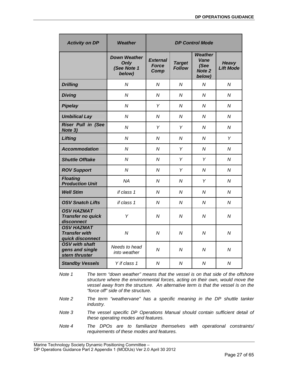| <b>Activity on DP</b>                                         | Weather                                                     | <b>DP Control Mode</b>                  |                                |                                                           |                                  |  |  |  |  |
|---------------------------------------------------------------|-------------------------------------------------------------|-----------------------------------------|--------------------------------|-----------------------------------------------------------|----------------------------------|--|--|--|--|
|                                                               | <b>Down Weather</b><br><b>Only</b><br>(See Note 1<br>below) | <b>External</b><br><b>Force</b><br>Comp | <b>Target</b><br><b>Follow</b> | <b>Weather</b><br>Vane<br>(See<br><b>Note 2</b><br>below) | <b>Heavy</b><br><b>Lift Mode</b> |  |  |  |  |
| <b>Drilling</b>                                               | $\overline{N}$                                              | N                                       | N                              | $\overline{N}$                                            | N                                |  |  |  |  |
| <b>Diving</b>                                                 | N                                                           | N                                       | N                              | N                                                         | N                                |  |  |  |  |
| <b>Pipelay</b>                                                | N                                                           | Υ                                       | N                              | N                                                         | N                                |  |  |  |  |
| <b>Umbilical Lay</b>                                          | N                                                           | N                                       | N                              | N                                                         | N                                |  |  |  |  |
| <b>Riser Pull in (See</b><br>Note 3)                          | $\overline{N}$                                              | Y                                       | Y                              | N                                                         | $\overline{N}$                   |  |  |  |  |
| Lifting                                                       | $\overline{N}$                                              | N                                       | N                              | N                                                         | Y                                |  |  |  |  |
| <b>Accommodation</b>                                          | N                                                           | N                                       | Y                              | N                                                         | N                                |  |  |  |  |
| <b>Shuttle Offtake</b>                                        | N                                                           | N                                       | Y                              | Y                                                         | N                                |  |  |  |  |
| <b>ROV Support</b>                                            | $\overline{N}$                                              | N                                       | Y                              | $\overline{N}$                                            | $\overline{N}$                   |  |  |  |  |
| <b>Floating</b><br><b>Production Unit</b>                     | <b>NA</b>                                                   | N                                       | N                              | Υ                                                         | $\overline{N}$                   |  |  |  |  |
| <b>Well Stim</b>                                              | if class 1                                                  | N                                       | N                              | N                                                         | N                                |  |  |  |  |
| <b>OSV Snatch Lifts</b>                                       | if class 1                                                  | $\overline{N}$                          | $\overline{N}$                 | N                                                         | $\overline{N}$                   |  |  |  |  |
| <b>OSV HAZMAT</b><br><b>Transfer no quick</b><br>disconnect   | Y                                                           | N                                       | $\overline{N}$                 | N                                                         | $\overline{N}$                   |  |  |  |  |
| <b>OSV HAZMAT</b><br><b>Transfer with</b><br>quick disconnect | $\overline{N}$                                              | N                                       | N                              | Ν                                                         | N                                |  |  |  |  |
| <b>OSV with shaft</b><br>gens and single<br>stern thruster    | Needs to head<br>into weather                               | $\overline{N}$                          | N                              | Ν                                                         | N                                |  |  |  |  |
| <b>Standby Vessels</b>                                        | Y if class 1                                                | $\overline{N}$                          | N                              | $\overline{N}$                                            | $\overline{N}$                   |  |  |  |  |

*Note 1 The term "down weather" means that the vessel is on that side of the offshore structure where the environmental forces, acting on their own, would move the vessel away from the structure. An alternative term is that the vessel is on the "force off" side of the structure.* 

- *Note 2 The term "weathervane" has a specific meaning in the DP shuttle tanker industry.*
- *Note 3 The vessel specific DP Operations Manual should contain sufficient detail of these operating modes and features.*
- *Note 4 The DPOs are to familiarize themselves with operational constraints/ requirements of these modes and features.*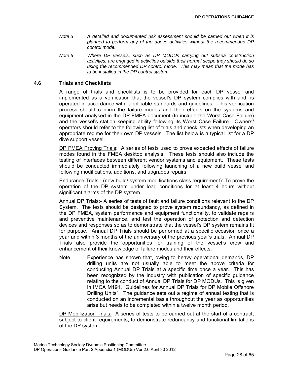- *Note 5 A detailed and documented risk assessment should be carried out when it is planned to perform any of the above activities without the recommended DP control mode.*
- *Note 6 Where DP vessels, such as DP MODUs carrying out subsea construction activities, are engaged in activities outside their normal scope they should do so using the recommended DP control mode. This may mean that the mode has to be installed in the DP control system.*

## <span id="page-27-0"></span>**4.6 Trials and Checklists**

A range of trials and checklists is to be provided for each DP vessel and implemented as a verification that the vessel's DP system complies with and, is operated in accordance with, applicable standards and guidelines. This verification process should confirm the failure modes and their effects on the systems and equipment analysed in the DP FMEA document (to include the Worst Case Failure) and the vessel's station keeping ability following its Worst Case Failure. Owners/ operators should refer to the following list of trials and checklists when developing an appropriate regime for their own DP vessels. The list below is a typical list for a DP dive support vessel.

DP FMEA Proving Trials: A series of tests used to prove expected effects of failure modes found in the FMEA desktop analysis. These tests should also include the testing of interfaces between different vendor systems and equipment. These tests should be conducted immediately following launching of a new build vessel and following modifications, additions, and upgrades repairs.

Endurance Trials:- (new build/ system modifications class requirement): To prove the operation of the DP system under load conditions for at least 4 hours without significant alarms of the DP system.

Annual DP Trials:- A series of tests of fault and failure conditions relevant to the DP System. The tests should be designed to prove system redundancy, as defined in the DP FMEA, system performance and equipment functionality, to validate repairs and preventive maintenance, and test the operation of protection and detection devices and responses so as to demonstrate that the vessel's DP system remains fit for purpose. Annual DP Trials should be performed at a specific occasion once a year and within 3 months of the anniversary of the previous year's trials. Annual DP Trials also provide the opportunities for training of the vessel's crew and enhancement of their knowledge of failure modes and their effects.

Note Experience has shown that, owing to heavy operational demands, DP drilling units are not usually able to meet the above criteria for conducting Annual DP Trials at a specific time once a year. This has been recognized by the industry with publication of specific guidance relating to the conduct of Annual DP Trials for DP MODUs. This is given in IMCA M191, "Guidelines for Annual DP Trials for DP Mobile Offshore Drilling Units". The guidance sets out a regime of annual testing that is conducted on an incremental basis throughout the year as opportunities arise but needs to be completed within a twelve month period.

DP Mobilization Trials: A series of tests to be carried out at the start of a contract, subject to client requirements, to demonstrate redundancy and functional limitations of the DP system.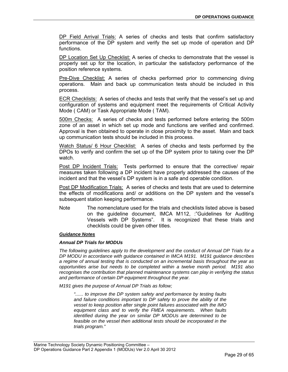DP Field Arrival Trials: A series of checks and tests that confirm satisfactory performance of the DP system and verify the set up mode of operation and DP functions.

DP Location Set Up Checklist: A series of checks to demonstrate that the vessel is properly set up for the location, in particular the satisfactory performance of the position reference systems.

Pre-Dive Checklist: A series of checks performed prior to commencing diving operations. Main and back up communication tests should be included in this process.

ECR Checklists: A series of checks and tests that verify that the vessel's set up and configuration of systems and equipment meet the requirements of Critical Activity Mode ( CAM) or Task Appropriate Mode ( TAM).

500m Checks: A series of checks and tests performed before entering the 500m zone of an asset in which set up mode and functions are verified and confirmed. Approval is then obtained to operate in close proximity to the asset. Main and back up communication tests should be included in this process.

Watch Status/ 6 Hour Checklist: A series of checks and tests performed by the DPOs to verify and confirm the set up of the DP system prior to taking over the DP watch.

Post DP Incident Trials: Tests performed to ensure that the corrective/ repair measures taken following a DP incident have properly addressed the causes of the incident and that the vessel's DP system is in a safe and operable condition.

Post DP Modification Trials: A series of checks and tests that are used to determine the effects of modifications and/ or additions on the DP system and the vessel's subsequent station keeping performance.

Note The nomenclature used for the trials and checklists listed above is based on the guideline document, IMCA M112, :"Guidelines for Auditing Vessels with DP Systems". It is recognized that these trials and checklists could be given other titles.

### *Guidance Notes*

### *Annual DP Trials for MODUs*

*The following guidelines apply to the development and the conduct of Annual DP Trials for a DP MODU in accordance with guidance contained in IMCA M191. M191 guidance describes a regime of annual testing that is conducted on an incremental basis throughout the year as opportunities arise but needs to be completed within a twelve month period. M191 also recognises the contribution that planned maintenance systems can play in verifying the status and performance of certain DP equipment throughout the year.* 

*M191 gives the purpose of Annual DP Trials as follow;* 

*"...... to improve the DP system safety and performance by testing faults and failure conditions important to DP safety to prove the ability of the vessel to keep position after single point failures associated with the IMO equipment class and to verify the FMEA requirements. When faults identified during the year on similar DP MODUs are determined to be feasible on the vessel then additional tests should be incorporated in the trials program."*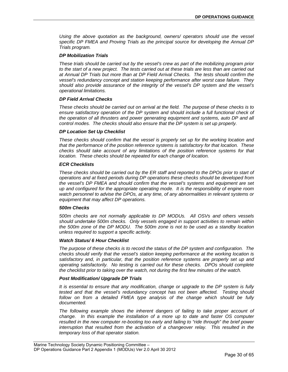*Using the above quotation as the background, owners/ operators should use the vessel specific DP FMEA and Proving Trials as the principal source for developing the Annual DP Trials program.* 

### *DP Mobilization Trials*

*These trials should be carried out by the vessel's crew as part of the mobilizing program prior to the start of a new project. The tests carried out at these trials are less than are carried out at Annual DP Trials but more than at DP Field Arrival Checks. The tests should confirm the vessel's redundancy concept and station keeping performance after worst case failure. They should also provide assurance of the integrity of the vessel's DP system and the vessel's operational limitations.* 

### *DP Field Arrival Checks*

*These checks should be carried out on arrival at the field. The purpose of these checks is to ensure satisfactory operation of the DP system and should include a full functional check of the operation of all thrusters and power generating equipment and systems, auto DP and all control modes. The checks should also ensure that the DP system is set up properly.* 

#### *DP Location Set Up Checklist*

*These checks should confirm that the vessel is properly set up for the working location and that the performance of the position reference systems is satisfactory for that location. These checks should take account of any limitations of the position reference systems for that location. These checks should be repeated for each change of location.* 

#### *ECR Checklists*

*These checks should be carried out by the ER staff and reported to the DPOs prior to start of operations and at fixed periods during DP operations these checks should be developed from the vessel's DP FMEA and should confirm that the vessel's systems and equipment are set up and configured for the appropriate operating mode. It is the responsibility of engine room watch personnel to advise the DPOs, at any time, of any abnormalities in relevant systems or equipment that may affect DP operations.* 

#### *500m Checks*

*500m checks are not normally applicable to DP MODUs. All OSVs and others vessels should undertake 500m checks. Only vessels engaged in support activities to remain within the 500m zone of the DP MODU. The 500m zone is not to be used as a standby location unless required to support a specific activity.* 

#### *Watch Status/ 6 Hour Checklist*

*The purpose of these checks is to record the status of the DP system and configuration. The checks should verify that the vessel's station keeping performance at the working location is satisfactory and, in particular, that the position reference systems are properly set up and operating satisfactorily. No testing is carried out for these checks. DPOs should complete the checklist prior to taking over the watch, not during the first few minutes of the watch.* 

#### *Post Modification/ Upgrade DP Trials*

*It is essential to ensure that any modification, change or upgrade to the DP system is fully tested and that the vessel's redundancy concept has not been affected. Testing should follow on from a detailed FMEA type analysis of the change which should be fully documented.* 

The following example shows the inherent dangers of failing to take proper account of *change. In this example the installation of a more up to date and faster OS computer resulted in the new computer re-booting too early and failing to "ride through" the brief power interruption that resulted from the activation of a changeover relay. This resulted in the temporary loss of that operator station.*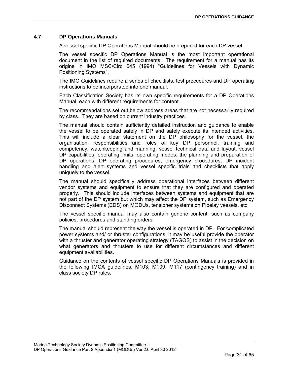## <span id="page-30-0"></span>**4.7 DP Operations Manuals**

A vessel specific DP Operations Manual should be prepared for each DP vessel.

The vessel specific DP Operations Manual is the most important operational document in the list of required documents. The requirement for a manual has its origins in IMO MSC/Circ 645 (1994) "Guidelines for Vessels with Dynamic Positioning Systems".

The IMO Guidelines require a series of checklists, test procedures and DP operating instructions to be incorporated into one manual.

Each Classification Society has its own specific requirements for a DP Operations Manual, each with different requirements for content.

The recommendations set out below address areas that are not necessarily required by class. They are based on current industry practices.

The manual should contain sufficiently detailed instruction and guidance to enable the vessel to be operated safely in DP and safely execute its intended activities. This will include a clear statement on the DP philosophy for the vessel, the organisation, responsibilities and roles of key DP personnel, training and competency, watchkeeping and manning, vessel technical data and layout, vessel DP capabilities, operating limits, operating modes, the planning and preparation of DP operations, DP operating procedures, emergency procedures, DP incident handling and alert systems and vessel specific trials and checklists that apply uniquely to the vessel.

The manual should specifically address operational interfaces between different vendor systems and equipment to ensure that they are configured and operated properly. This should include interfaces between systems and equipment that are not part of the DP system but which may affect the DP system, such as Emergency Disconnect Systems (EDS) on MODUs, tensioner systems on Pipelay vessels, etc.

The vessel specific manual may also contain generic content, such as company policies, procedures and standing orders.

The manual should represent the way the vessel is operated in DP. For complicated power systems and/ or thruster configurations, it may be useful provide the operator with a thruster and generator operating strategy (TAGOS) to assist in the decision on what generators and thrusters to use for different circumstances and different equipment availabilities.

Guidance on the contents of vessel specific DP Operations Manuals is provided in the following IMCA guidelines, M103, M109, M117 (contingency training) and in class society DP rules.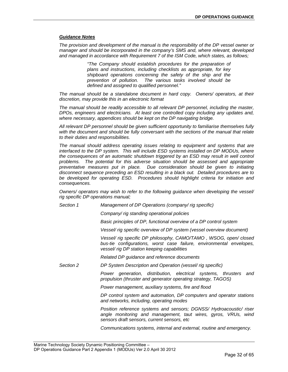#### *Guidance Notes*

*The provision and development of the manual is the responsibility of the DP vessel owner or manager and should be incorporated in the company's SMS and, where relevant, developed and managed in accordance with Requirement 7 of the ISM Code, which states, as follows;* 

> *"The Company should establish procedures for the preparation of plans and instructions, including checklists as appropriate, for key shipboard operations concerning the safety of the ship and the prevention of pollution. The various tasks involved should be defined and assigned to qualified personnel."*

*The manual should be a standalone document in hard copy. Owners/ operators, at their discretion, may provide this in an electronic format* 

*The manual should be readily accessible to all relevant DP personnel, including the master, DPOs, engineers and electricians. At least one controlled copy including any updates and, where necessary, appendices should be kept on the DP navigating bridge.* 

*All relevant DP personnel should be given sufficient opportunity to familiarise themselves fully*  with the document and should be fully conversant with the sections of the manual that relate *to their duties and responsibilities.* 

*The manual should address operating issues relating to equipment and systems that are interfaced to the DP system. This will include ESD systems installed on DP MODUs, where the consequences of an automatic shutdown triggered by an ESD may result in well control problems. The potential for this adverse situation should be assessed and appropriate preventative measures put in place. Due consideration should be given to initiating disconnect sequence preceding an ESD resulting in a black out. Detailed procedures are to be developed for operating ESD. Procedures should highlight criteria for initiation and consequences.* 

*Owners/ operators may wish to refer to the following guidance when developing the vessel/ rig specific DP operations manual;* 

*Section 1 Management of DP Operations (company/ rig specific)* 

*Company/ rig standing operational policies* 

*Basic principles of DP, functional overview of a DP control system* 

*Vessel/ rig specific overview of DP system (vessel overview document)* 

*Vessel/ rig specific DP philosophy, CAMO/TAMO , WSOG, open/ closed bus-tie configurations, worst case failure, environmental envelopes, vessel/ rig DP station keeping capabilities* 

*Related DP guidance and reference documents* 

*Section 2 DP System Description and Operation (vessel/ rig specific)* 

*Power generation, distribution, electrical systems, thrusters and propulsion (thruster and generator operating strategy, TAGOS)* 

*Power management, auxiliary systems, fire and flood* 

*DP control system and automation, DP computers and operator stations and networks, including, operating modes* 

*Position reference systems and sensors; DGNSS/ Hydroacoustic/ riser angle monitoring and management, taut wires, gyros, VRUs, wind sensors draft sensors, current sensors, etc* 

*Communications systems, internal and external, routine and emergency.*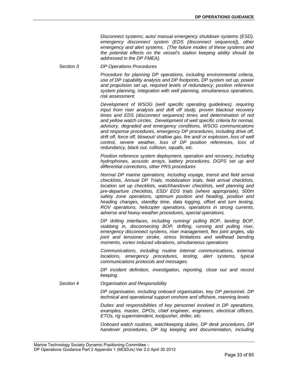*Disconnect systems; auto/ manual emergency shutdown systems (ESD), emergency disconnect system (EDS [disconnect sequence]), other emergency and alert systems. (The failure modes of these systems and the potential effects on the vessel's station keeping ability should be addressed in the DP FMEA).* 

*Section 3 DP Operations Procedures* 

*Procedure for planning DP operations, including environmental criteria, use of DP capability analysis and DP footprints, DP system set up, power and propulsion set up, required levels of redundancy, position reference system planning, integration with well planning, simultaneous operations, risk assessment.* 

*Development of WSOG (well specific operating guidelines), requiring input from riser analysis and drift off study, proven blackout recovery times and EDS (disconnect sequence) times and determination of red and yellow watch circles. Development of well specific criteria for normal, advisory, degraded and emergency conditions, WSOG communications and response procedures, emergency DP procedures, including drive off, drift off, force off, blowout/ shallow gas, fire and/ or explosion, loss of well control, severe weather, loss of DP position references, loss of redundancy, black out, collision, squalls, etc.* 

*Position reference system deployment, operation and recovery, including hydrophones, acoustic arrays, battery procedures, DGPS set up and differential corrections, other PRS procedures* 

*Normal DP marine operations, including voyage, transit and field arrival checklists, Annual DP Trials, mobilization trials, field arrival checklists, location set up checklists, watchhandover checklists, well planning and pre-departure checklists, ESD/ EDS trials (where appropriate), 500m safety zone operations, optimum position and heading, position and heading changes, standby time, data logging, offset and turn testing, ROV operations, helicopter operations, operations in strong currents, adverse and heavy weather procedures, special operations.* 

*DP drilling interfaces, including running/ pulling BOP, landing BOP, stabbing in, disconnecting BOP, drifting, running and pulling riser, emergency disconnect systems, riser management, flex joint angles, slip joint and tensioner stroke, stress limitations and wellhead bending moments, vortex induced vibrations, simultaneous operations* 

*Communications, including routine internal communications, external locations, emergency procedures, testing, alert systems, typical communications protocols and messages.* 

*DP incident definition, investigation, reporting, close out and record keeping.* 

*Section 4 Organisation and Responsibility* 

*DP organisation, including onboard organisation, key DP personnel, DP technical and operational support onshore and offshore, manning levels* 

*Duties and responsibilities of key personnel involved in DP operations, examples, master, DPOs, chief engineer, engineers, electrical officers, ETOs, rig superintendent, toolpusher, driller, etc.* 

*Onboard watch routines, watchkeeping duties, DP desk procedures, DP handover procedures, DP log keeping and documentation, including*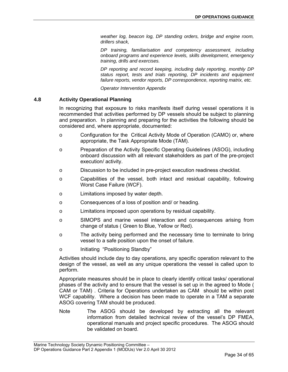*weather log, beacon log, DP standing orders, bridge and engine room, drillers shack,* 

*DP training, familiarisation and competency assessment, including onboard programs and experience levels, skills development, emergency training, drills and exercises.* 

*DP reporting and record keeping, including daily reporting, monthly DP status report, tests and trials reporting, DP incidents and equipment failure reports, vendor reports, DP correspondence, reporting matrix, etc.* 

*Operator Intervention Appendix* 

## <span id="page-33-0"></span>**4.8 Activity Operational Planning**

In recognizing that exposure to risks manifests itself during vessel operations it is recommended that activities performed by DP vessels should be subject to planning and preparation. In planning and preparing for the activities the following should be considered and, where appropriate, documented:

- o Configuration for the Critical Activity Mode of Operation (CAMO) or, where appropriate, the Task Appropriate Mode (TAM).
- o Preparation of the Activity Specific Operating Guidelines (ASOG), including onboard discussion with all relevant stakeholders as part of the pre-project execution/ activity.
- o Discussion to be included in pre-project execution readiness checklist.
- o Capabilities of the vessel, both intact and residual capability, following Worst Case Failure (WCF).
- o Limitations imposed by water depth.
- o Consequences of a loss of position and/ or heading.
- o Limitations imposed upon operations by residual capability.
- o SIMOPS and marine vessel interaction and consequences arising from change of status ( Green to Blue, Yellow or Red).
- o The activity being performed and the necessary time to terminate to bring vessel to a safe position upon the onset of failure.
- o Initiating "Positioning Standby"

Activities should include day to day operations, any specific operation relevant to the design of the vessel, as well as any unique operations the vessel is called upon to perform.

Appropriate measures should be in place to clearly identify critical tasks/ operational phases of the activity and to ensure that the vessel is set up in the agreed to Mode ( CAM or TAM) . Criteria for Operations undertaken as CAM should be within post WCF capability. Where a decision has been made to operate in a TAM a separate ASOG covering TAM should be produced.

Note The ASOG should be developed by extracting all the relevant information from detailed technical review of the vessel's DP FMEA, operational manuals and project specific procedures. The ASOG should be validated on board.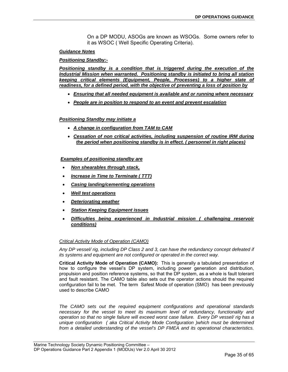On a DP MODU, ASOGs are known as WSOGs. Some owners refer to it as WSOC ( Well Specific Operating Criteria).

### *Guidance Notes*

## *Positioning Standby:-*

*Positioning standby is a condition that is triggered during the execution of the Industrial Mission when warranted. Positioning standby is initiated to bring all station keeping critical elements (Equipment, People, Processes) to a higher state of readiness, for a defined period, with the objective of preventing a loss of position by*

- *Ensuring that all needed equipment is available and or running where necessary*
- *People are in position to respond to an event and prevent escalation*

## *Positioning Standby may initiate a*

- *A change in configuration from TAM to CAM*
- **Cessation of non critical activities, including suspension of routine IRM during** *the period when positioning standby is in effect. ( personnel in right places)*

## *Examples of positioning standby are*

- *Non shearables through stack,*
- *Increase in Time to Terminate ( TTT)*
- *Casing landing/cementing operations*
- *Well test operations*
- *Deteriorating weather*
- *Station Keeping Equipment issues*
- *Difficulties being experienced in Industrial mission ( challenging reservoir conditions)*

### *Critical Activity Mode of Operation (CAMO)*

*Any DP vessel/ rig, including DP Class 2 and 3, can have the redundancy concept defeated if its systems and equipment are not configured or operated in the correct way.*

**Critical Activity Mode of Operation (CAMO):** This is generally a tabulated presentation of how to configure the vessel's DP system, including power generation and distribution, propulsion and position reference systems, so that the DP system, as a whole is fault tolerant and fault resistant. The CAMO table also sets out the operator actions should the required configuration fail to be met. The term Safest Mode of operation (SMO) has been previously used to describe CAMO

*The CAMO sets out the required equipment configurations and operational standards necessary for the vessel to meet its maximum level of redundancy, functionality and operation so that no single failure will exceed worst case failure. Every DP vessel/ rig has a unique configuration ( aka Critical Activity Mode Configuration )which must be determined from a detailed understanding of the vessel's DP FMEA and its operational characteristics.*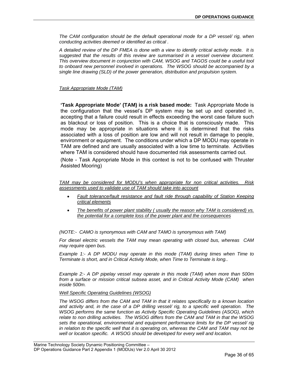*The CAM configuration should be the default operational mode for a DP vessel/ rig, when conducting activities deemed or identified as critical .* 

*A detailed review of the DP FMEA is done with a view to identify critical activity mode. It is suggested that the results of this review are summarised in a vessel overview document. This overview document in conjunction with CAM, WSOG and TAGOS could be a useful tool to onboard new personnel involved in operations. The WSOG should be accompanied by a single line drawing (SLD) of the power generation, distribution and propulsion system.* 

## *Task Appropriate Mode (TAM)*

**'Task Appropriate Mode' (TAM) is a risk based mode:** Task Appropriate Mode is the configuration that the vessel's DP system may be set up and operated in, accepting that a failure could result in effects exceeding the worst case failure such as blackout or loss of position. This is a choice that is consciously made. This mode may be appropriate in situations where it is determined that the risks associated with a loss of position are low and will not result in damage to people, environment or equipment. The conditions under which a DP MODU may operate in TAM are defined and are usually associated with a low time to terminate. Activities where TAM is considered should have documented risk assessments carried out.

(Note - Task Appropriate Mode in this context is not to be confused with Thruster Assisted Mooring)

*TAM may be considered for MODU's when appropriate for non critical activities. Risk assessments used to validate use of TAM should take into account*

- *Fault tolerance/fault resistance and fault ride through capability of Station Keeping critical elements*
- *The benefits of power plant stability ( usually the reason why TAM is considered) vs. the potential for a complete loss of the power plant and the consequences*

*(NOTE:- CAMO is synonymous with CAM and TAMO is synonymous with TAM)* 

*For diesel electric vessels the TAM may mean operating with closed bus, whereas CAM may require open bus.* 

*Example 1:- A DP MODU may operate in this mode (TAM) during times when Time to Terminate is short, and in Critical Activity Mode, when Time to Terminate is long..* 

*Example 2:- A DP pipelay vessel may operate in this mode (TAM) when more than 500m from a surface or mission critical subsea asset, and in Critical Activity Mode (CAM) when inside 500m.* 

*Well Specific Operating Guidelines (WSOG)*

*The WSOG differs from the CAM and TAM in that it relates specifically to a known location and activity and, in the case of a DP drilling vessel/ rig, to a specific well operation. The WSOG performs the same function as Activity Specific Operating Guidelines (ASOG), which relate to non drilling activities. The WSOG differs from the CAM and TAM in that the WSOG sets the operational, environmental and equipment performance limits for the DP vessel/ rig in relation to the specific well that it is operating on, whereas the CAM and TAM may not be well or location specific. A WSOG should be developed for every well and location.*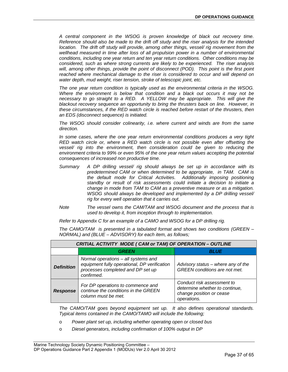*A central component in the WSOG is proven knowledge of black out recovery time. Reference should also be made to the drift off study and the riser analysis for the intended location.* The drift off study will provide, among other things, vessel/ rig movement from the wellhead measured in time after loss of all propulsion power in a number of environmental *conditions, including one year return and ten year return conditions. Other conditions may be considered, such as where strong currents are likely to be experienced. The riser analysis*  will, among other things, provide the point of disconnect (POD). This point is the first point reached where mechanical damage to the riser is considered to occur and will depend on *water depth, mud weight, riser tension, stroke of telescopic joint, etc.* 

*The one year return condition is typically used as the environmental criteria in the WSOG. Where the environment is below that condition and a black out occurs it may not be necessary to go straight to a RED. A YELLOW may be appropriate. This will give the blackout recovery sequence an opportunity to bring the thrusters back on line. However, in these circumstances, if the RED watch circle is reached before restart of the thrusters, then an EDS (disconnect sequence) is initiated.* 

*The WSOG should consider colinearity, i.e. where current and winds are from the same direction.* 

*In some cases, where the one year return environmental conditions produces a very tight RED watch circle or, where a RED watch circle is not possible even after offsetting the vessel/ rig into the environment, then consideration could be given to reducing the environment criteria to 99% or even 95% of the one year return values accepting the potential consequences of increased non productive time.* 

- *Summary A DP drilling vessel/ rig should always be set up in accordance with its predetermined CAM or when determined to be appropriate, in TAM. CAM is the default mode for Critical Activities. Additionally imposing positioning standby or result of risk assessments could initiate a decision to initiate a change in mode from TAM to CAM as a preventive measure or as a mitigation. WSOG should always be developed and implemented by a DP drilling vessel/ rig for every well operation that it carries out.*
- *Note The vessel owns the CAM/TAM and WSOG document and the process that is used to develop it, from inception through to implementation.*

*Refer to Appendix C for an example of a CAMO and WSOG for a DP drilling rig.* 

|                   | CRITIAL ACTIVITY MODE ( CAM or TAM) OF OPERATION - OUTLINE                                                                             |                                                                                                         |  |  |  |  |
|-------------------|----------------------------------------------------------------------------------------------------------------------------------------|---------------------------------------------------------------------------------------------------------|--|--|--|--|
|                   | GREEN                                                                                                                                  | <i><b>BLUE</b></i>                                                                                      |  |  |  |  |
| <b>Definition</b> | Normal operations - all systems and<br>equipment fully operational, DP verification<br>processes completed and DP set up<br>confirmed. | Advisory status - where any of the<br><b>GREEN</b> conditions are not met.                              |  |  |  |  |
| <b>Response</b>   | For DP operations to commence and<br>continue the conditions in the GREEN<br>column must be met.                                       | Conduct risk assessment to<br>determine whether to continue,<br>change position or cease<br>operations. |  |  |  |  |

*The CAMO/TAM is presented in a tabulated format and shows two conditions (GREEN – NORMAL) and (BLUE – ADVISORY) for each item, as follows;* 

*The CAMO/TAM goes beyond equipment set up. It also defines operational standards. Typical items contained in the CAMO/TAMO will include the following;* 

- o *Power plant set up, including whether operating open or closed bus*
- o *Diesel generators, including confirmation of 100% output in DP*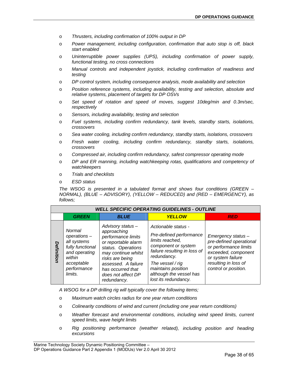- o *Thrusters, including confirmation of 100% output in DP*
- o *Power management, including configuration, confirmation that auto stop is off, black start enabled*
- o *Uninterruptible power supplies (UPS), including confirmation of power supply, functional testing, no cross connections*
- o *Manual controls and independent joystick, including confirmation of readiness and testing*
- o *DP control system, including consequence analysis, mode availability and selection*
- o *Position reference systems, including availability, testing and selection, absolute and relative systems, placement of targets for DP OSVs*
- o *Set speed of rotation and speed of moves, suggest 10deg/min and 0.3m/sec, respectively*
- o *Sensors, including availability, testing and selection*
- o *Fuel systems, including confirm redundancy, tank levels, standby starts, isolations, crossovers*
- o *Sea water cooling, including confirm redundancy, standby starts, isolations, crossovers*
- o *Fresh water cooling, including confirm redundancy, standby starts, isolations, crossovers*
- o *Compressed air, including confirm redundancy, safest compressor operating mode*
- o *DP and ER manning, including watchkeeping rotas, qualifications and competency of watchkeepers*
- o *Trials and checklists*
- o *ESD status*

*The WSOG is presented in a tabulated format and shows four conditions (GREEN – NORMAL), (BLUE – ADVISORY), (YELLOW – REDUCED) and (RED – EMERGENCY), as follows;* 

|            | <b>WELL SPECIFIC OPERATING GUIDELINES - OUTLINE</b>                                                                          |                                                                                                                                                                                                                               |                                                                                                                                                                                                                                      |                                                                                                                                                                    |  |  |
|------------|------------------------------------------------------------------------------------------------------------------------------|-------------------------------------------------------------------------------------------------------------------------------------------------------------------------------------------------------------------------------|--------------------------------------------------------------------------------------------------------------------------------------------------------------------------------------------------------------------------------------|--------------------------------------------------------------------------------------------------------------------------------------------------------------------|--|--|
|            | <b>GREEN</b>                                                                                                                 | <b>BLUE</b>                                                                                                                                                                                                                   | <b>YELLOW</b>                                                                                                                                                                                                                        | <b>RED</b>                                                                                                                                                         |  |  |
| Definition | Normal<br>operations -<br>all systems<br>fully functional<br>and operating<br>within<br>acceptable<br>performance<br>limits. | Advisory status-<br>approaching<br>performance limits<br>or reportable alarm<br>status. Operations<br>may continue whilst<br>risks are being<br>assessed. A failure<br>has occurred that<br>does not affect DP<br>redundancy. | Actionable status -<br>Pre-defined performance<br>limits reached,<br>component or system<br>failure resulting in loss of<br>redundancy.<br>The vessel / rig<br>maintains position<br>although the vessel has<br>lost its redundancy. | Emergency status -<br>pre-defined operational<br>or performance limits<br>exceeded, component<br>or system failure<br>resulting in loss of<br>control or position. |  |  |

*A WSOG for a DP drilling rig will typically cover the following items;* 

- o *Maximum watch circles radius for one year return conditions*
- o *Colinearity conditions of wind and current (including one year return conditions)*
- o *Weather forecast and environmental conditions, including wind speed limits, current speed limits, wave height limits*
- o *Rig positioning performance (weather related), including position and heading excursions*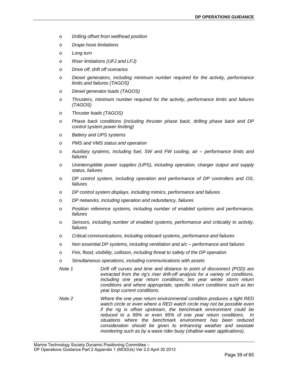- o *Drilling offset from wellhead position*
- o *Drape hose limitations*
- o *Long turn*
- o *Riser limitations (UFJ and LFJ)*
- o *Drive off, drift off scenarios*
- o *Diesel generators, including minimum number required for the activity, performance limits and failures (TAGOS)*
- o *Diesel generator loads (TAGOS)*
- o *Thrusters, minimum number required for the activity, performance limits and failures (TAGOS)*
- o *Thruster loads (TAGOS)*
- o *Phase back conditions (including thruster phase back, drilling phase back and DP control system power limiting)*
- o *Battery and UPS systems*
- o *PMS and VMS status and operation*
- o *Auxiliary systems, including fuel, SW and FW cooling, air performance limits and failures*
- o *Uninterruptible power supplies (UPS), including operation, charger output and supply status, failures*
- o *DP control system, including operation and performance of DP controllers and OS, failures*
- o *DP control system displays, including mimics, performance and failures*
- o *DP networks, including operation and redundancy, failures*
- o *Position reference systems, including number of enabled systems and performance, failures*
- o *Sensors, including number of enabled systems, performance and criticality to activity, failures*
- o *Critical communications, including onboard systems, performance and failures*
- o *Non essential DP systems, including ventilation and a/c performance and failures*
- o *Fire, flood, visibility, collision, including threat to safety of the DP operation*
- o *Simultaneous operations, including communications with assets*
- *Note 1 Drift off curves and time and distance to point of disconnect (POD) are extracted from the rig's riser drift-off analysis for a variety of conditions, including one year return conditions, ten year winter storm return conditions and where appropriate, specific return conditions such as ten year loop current conditions.*
- *Note 2 Where the one year return environmental condition produces a tight RED watch circle or even where a RED watch circle may not be possible even if the rig is offset upstream, the benchmark environment could be reduced to a 99% or even 95% of one year return conditions. In situations where the benchmark environment has been reduced consideration should be given to enhancing weather and seastate monitoring such as by a wave rider buoy (shallow water applications).*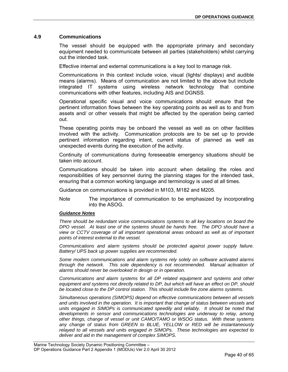## <span id="page-39-0"></span>**4.9 Communications**

The vessel should be equipped with the appropriate primary and secondary equipment needed to communicate between all parties (stakeholders) whilst carrying out the intended task.

Effective internal and external communications is a key tool to manage risk.

Communications in this context include voice, visual (lights/ displays) and audible means (alarms). Means of communication are not limited to the above but include integrated IT systems using wireless network technology that combine communications with other features, including AIS and DGNSS.

Operational specific visual and voice communications should ensure that the pertinent information flows between the key operating points as well as to and from assets and/ or other vessels that might be affected by the operation being carried out.

These operating points may be onboard the vessel as well as on other facilities involved with the activity. Communication protocols are to be set up to provide pertinent information regarding intent, current status of planned as well as unexpected events during the execution of the activity.

Continuity of communications during foreseeable emergency situations should be taken into account.

Communications should be taken into account when detailing the roles and responsibilities of key personnel during the planning stages for the intended task, ensuring that a common working language and terminology is used at all times.

Guidance on communications is provided in M103, M182 and M205.

Note The importance of communication to be emphasized by incorporating into the ASOG.

### *Guidance Notes*

*There should be redundant voice communications systems to all key locations on board the DPO vessel. At least one of the systems should be hands free. The DPO should have a view or CCTV coverage of all important operational areas onboard as well as of important points of interest external to the vessel.* 

*Communications and alarm systems should be protected against power supply failure. Battery/ UPS back up power supplies are recommended.* 

*Some modern communications and alarm systems rely solely on software activated alarms through the network. This sole dependency is not recommended. Manual activation of alarms should never be overlooked in design or in operation.* 

*Communications and alarm systems for all DP related equipment and systems and other equipment and systems not directly related to DP, but which will have an effect on DP, should be located close to the DP control station. This should include fire zone alarms systems.* 

*Simultaneous operations (SIMOPS) depend on effective communications between all vessels and units involved in the operation. It is important that change of status between vessels and units engaged in SIMOPs is communicated speedily and reliably. It should be noted that developments in sensor and communications technologies are underway to relay, among other things, change of vessel or unit CAMO/TAMO or WSOG status. With these systems any change of status from GREEN to BLUE, YELLOW or RED will be instantaneously relayed to all vessels and units engaged in SIMOPs. These technologies are expected to deliver and aid in the management of complex SIMOPS.*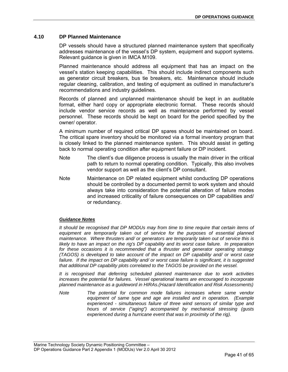## <span id="page-40-0"></span>**4.10 DP Planned Maintenance**

DP vessels should have a structured planned maintenance system that specifically addresses maintenance of the vessel's DP system, equipment and support systems. Relevant guidance is given in IMCA M109.

Planned maintenance should address all equipment that has an impact on the vessel's station keeping capabilities. This should include indirect components such as generator circuit breakers, bus tie breakers, etc. Maintenance should include regular cleaning, calibration, and testing of equipment as outlined in manufacturer's recommendations and industry guidelines.

Records of planned and unplanned maintenance should be kept in an auditable format, either hard copy or appropriate electronic format. These records should include vendor service records as well as maintenance performed by vessel personnel. These records should be kept on board for the period specified by the owner/ operator.

A minimum number of required critical DP spares should be maintained on board. The critical spare inventory should be monitored via a formal inventory program that is closely linked to the planned maintenance system. This should assist in getting back to normal operating condition after equipment failure or DP incident.

- Note The client's due diligence process is usually the main driver in the critical path to return to normal operating condition. Typically, this also involves vendor support as well as the client's DP consultant.
- Note Maintenance on DP related equipment whilst conducting DP operations should be controlled by a documented permit to work system and should always take into consideration the potential alteration of failure modes and increased criticality of failure consequences on DP capabilities and/ or redundancy.

## *Guidance Notes*

*It should be recognised that DP MODUs may from time to time require that certain items of*  equipment are temporarily taken out of service for the purposes of essential planned *maintenance. Where thrusters and/ or generators are temporarily taken out of service this is*  likely to have an impact on the rig's DP capability and its worst case failure. In preparation for these occasions it is recommended that a thruster and generator operating strategy *(TAGOS) is developed to take account of the impact on DP capability and/ or worst case*  failure. If the impact on DP capability and/ or worst case failure is significant, it is suggested *that additional DP capability plots correlated to the TAGOS be provided on the vessel.* 

*It is recognised that deferring scheduled planned maintenance due to work activities increases the potential for failures. Vessel operational teams are encouraged to incorporate planned maintenance as a guideword in HIRAs.(Hazard Identification and Risk Assessments)* 

*Note The potential for common mode failures increases where same vendor equipment of same type and age are installed and in operation. (Example experienced - simultaneous failure of three wind sensors of similar type and hours of service ("aging") accompanied by mechanical stressing (gusts experienced during a hurricane event that was in proximity of the rig).*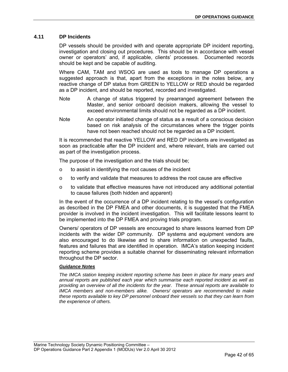## <span id="page-41-0"></span>**4.11 DP Incidents**

DP vessels should be provided with and operate appropriate DP incident reporting, investigation and closing out procedures. This should be in accordance with vessel owner or operators' and, if applicable, clients' processes. Documented records should be kept and be capable of auditing.

Where CAM, TAM and WSOG are used as tools to manage DP operations a suggested approach is that, apart from the exceptions in the notes below, any reactive change of DP status from GREEN to YELLOW or RED should be regarded as a DP incident, and should be reported, recorded and investigated.

- Note A change of status triggered by prearranged agreement between the Master, and senior onboard decision makers, allowing the vessel to exceed environmental limits should not be regarded as a DP incident.
- Note An operator initiated change of status as a result of a conscious decision based on risk analysis of the circumstances where the trigger points have not been reached should not be regarded as a DP incident.

It is recommended that reactive YELLOW and RED DP incidents are investigated as soon as practicable after the DP incident and, where relevant, trials are carried out as part of the investigation process.

The purpose of the investigation and the trials should be;

- o to assist in identifying the root causes of the incident
- $\circ$  to verify and validate that measures to address the root cause are effective
- $\circ$  to validate that effective measures have not introduced any additional potential to cause failures (both hidden and apparent)

In the event of the occurrence of a DP incident relating to the vessel's configuration as described in the DP FMEA and other documents, it is suggested that the FMEA provider is involved in the incident investigation. This will facilitate lessons learnt to be implemented into the DP FMEA and proving trials program.

Owners/ operators of DP vessels are encouraged to share lessons learned from DP incidents with the wider DP community. DP systems and equipment vendors are also encouraged to do likewise and to share information on unexpected faults, features and failures that are identified in operation. IMCA's station keeping incident reporting scheme provides a suitable channel for disseminating relevant information throughout the DP sector.

### *Guidance Notes*

*The IMCA station keeping incident reporting scheme has been in place for many years and annual reports are published each year which summarise each reported incident as well as providing an overview of all the incidents for the year. These annual reports are available to IMCA members and non-members alike. Owners/ operators are recommended to make these reports available to key DP personnel onboard their vessels so that they can learn from the experience of others.*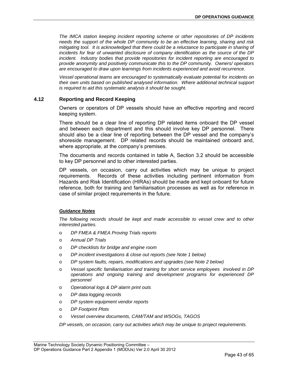*The IMCA station keeping incident reporting scheme or other repositories of DP incidents needs the support of the whole DP community to be an effective learning, sharing and risk mitigating tool. It is acknowledged that there could be a reluctance to participate in sharing of incidents for fear of unwanted disclosure of company identification as the source of the DP incident. Industry bodies that provide repositories for incident reporting are encouraged to provide anonymity and positively communicate this to the DP community. Owners/ operators are encouraged to draw upon learnings from incidents experienced and avoid recurrence.* 

*Vessel operational teams are encouraged to systematically evaluate potential for incidents on their own units based on published analysed information. Where additional technical support is required to aid this systematic analysis it should be sought.* 

## <span id="page-42-0"></span>**4.12 Reporting and Record Keeping**

Owners or operators of DP vessels should have an effective reporting and record keeping system.

There should be a clear line of reporting DP related items onboard the DP vessel and between each department and this should involve key DP personnel. There should also be a clear line of reporting between the DP vessel and the company's shoreside management. DP related records should be maintained onboard and, where appropriate, at the company's premises.

The documents and records contained in table A, Section 3.2 should be accessible to key DP personnel and to other interested parties.

DP vessels, on occasion, carry out activities which may be unique to project requirements. Records of these activities including pertinent information from Hazards and Risk Identification (HIRAs) should be made and kept onboard for future reference, both for training and familiarisation processes as well as for reference in case of similar project requirements in the future.

### *Guidance Notes*

*The following records should be kept and made accessible to vessel crew and to other interested parties.* 

- o *DP FMEA & FMEA Proving Trials reports*
- o *Annual DP Trials*
- o *DP checklists for bridge and engine room*
- o *DP incident investigations & close out reports (see Note 1 below)*
- o *DP system faults, repairs, modifications and upgrades (see Note 2 below)*
- o *Vessel specific familiarisation and training for short service employees involved in DP operations and ongoing training and development programs for experienced DP personnel*
- o *Operational logs & DP alarm print outs*
- o *DP data logging records*
- o *DP system equipment vendor reports*
- o *DP Footprint Plots*
- o *Vessel overview documents, CAM/TAM and WSOGs, TAGOS*

*DP vessels, on occasion, carry out activities which may be unique to project requirements.*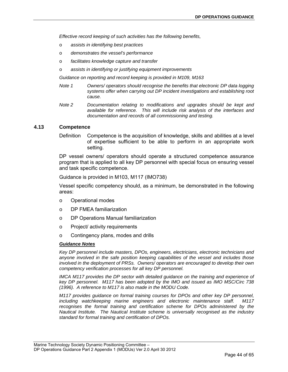*Effective record keeping of such activities has the following benefits,* 

- o *assists in identifying best practices*
- o *demonstrates the vessel's performance*
- o *facilitates knowledge capture and transfer*
- o *assists in identifying or justifying equipment improvements*

*Guidance on reporting and record keeping is provided in M109, M163* 

- *Note 1 Owners/ operators should recognise the benefits that electronic DP data logging systems offer when carrying out DP incident investigations and establishing root cause.*
- *Note 2 Documentation relating to modifications and upgrades should be kept and available for reference. This will include risk analysis of the interfaces and documentation and records of all commissioning and testing.*

## <span id="page-43-0"></span>**4.13 Competence**

Definition Competence is the acquisition of knowledge, skills and abilities at a level of expertise sufficient to be able to perform in an appropriate work setting.

DP vessel owners/ operators should operate a structured competence assurance program that is applied to all key DP personnel with special focus on ensuring vessel and task specific competence.

Guidance is provided in M103, M117 (IMO738)

Vessel specific competency should, as a minimum, be demonstrated in the following areas:

- o Operational modes
- o DP FMEA familiarization
- o DP Operations Manual familiarization
- o Project/ activity requirements
- o Contingency plans, modes and drills

### *Guidance Notes*

*Key DP personnel include masters, DPOs, engineers, electricians, electronic technicians and anyone involved in the safe position keeping capabilities of the vessel and includes those involved in the deployment of PRSs. Owners/ operators are encouraged to develop their own competency verification processes for all key DP personnel.* 

*IMCA M117 provides the DP sector with detailed guidance on the training and experience of key DP personnel. M117 has been adopted by the IMO and issued as IMO MSC/Circ 738 (1996). A reference to M117 is also made in the MODU Code.* 

*M117 provides guidance on formal training courses for DPOs and other key DP personnel, including watchkeeping marine engineers and electronic maintenance staff. M117*  recognises the formal training and certification scheme for DPOs administered by the *Nautical Institute. The Nautical Institute scheme is universally recognised as the industry standard for formal training and certification of DPOs.*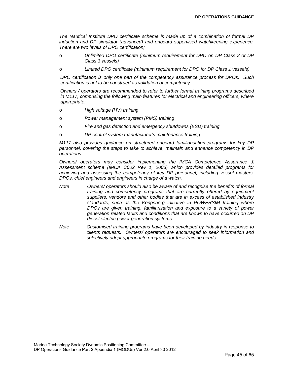*The Nautical Institute DPO certificate scheme is made up of a combination of formal DP induction and DP simulator (advanced) and onboard supervised watchkeeping experience. There are two levels of DPO certification;* 

- o *Unlimited DPO certificate (minimum requirement for DPO on DP Class 2 or DP Class 3 vessels)*
- o *Limited DPO certificate (minimum requirement for DPO for DP Class 1 vessels)*

*DPO certification is only one part of the competency assurance process for DPOs. Such certification is not to be construed as validation of competency.* 

*Owners / operators are recommended to refer to further formal training programs described in M117, comprising the following main features for electrical and engineering officers, where appropriate;* 

- o *High voltage (HV) training*
- o *Power management system (PMS) training*
- o *Fire and gas detection and emergency shutdowns (ESD) training*
- o *DP control system manufacturer's maintenance training*

*M117 also provides guidance on structured onboard familiarisation programs for key DP personnel, covering the steps to take to achieve, maintain and enhance competency in DP operations.* 

*Owners/ operators may consider implementing the IMCA Competence Assurance & Assessment scheme (IMCA C002 Rev 1, 2003) which provides detailed programs for achieving and assessing the competency of key DP personnel, including vessel masters, DPOs, chief engineers and engineers in charge of a watch.* 

- *Note Owners/ operators should also be aware of and recognise the benefits of formal training and competency programs that are currently offered by equipment suppliers, vendors and other bodies that are in excess of established industry standards, such as the Kongsberg initiative in POWERSIM training where DPOs are given training, familiarisation and exposure to a variety of power generation related faults and conditions that are known to have occurred on DP diesel electric power generation systems.*
- *Note Customised training programs have been developed by industry in response to clients requests. Owners/ operators are encouraged to seek information and selectively adopt appropriate programs for their training needs.*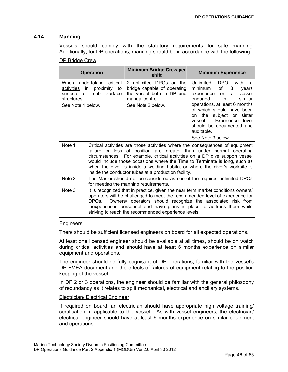## <span id="page-45-0"></span>**4.14 Manning**

Vessels should comply with the statutory requirements for safe manning. Additionally, for DP operations, manning should be in accordance with the following:

## DP Bridge Crew

| <b>Operation</b>                                                                                                                           | <b>Minimum Bridge Crew per</b><br>shift                                                                                                                                                                                                                                                                                                                                                                                                                 | <b>Minimum Experience</b>                                                                                                                                                                                                                                                                                                  |
|--------------------------------------------------------------------------------------------------------------------------------------------|---------------------------------------------------------------------------------------------------------------------------------------------------------------------------------------------------------------------------------------------------------------------------------------------------------------------------------------------------------------------------------------------------------------------------------------------------------|----------------------------------------------------------------------------------------------------------------------------------------------------------------------------------------------------------------------------------------------------------------------------------------------------------------------------|
| When<br>undertaking<br>critical<br>proximity to<br>activities<br>in.<br>surface<br>surface<br>sub<br>or<br>structures<br>See Note 1 below. | 2 unlimited DPOs on the<br>bridge capable of operating<br>the vessel both in DP and<br>manual control.<br>See Note 2 below.                                                                                                                                                                                                                                                                                                                             | Unlimited<br>DPO.<br>with<br>a<br>minimum<br>of<br>3<br>years<br>experience<br>vessel<br>on<br>a<br>in<br>similar<br>engaged<br>operations, at least 6 months<br>of which should have been<br>subject or<br>sister<br>on the<br>Experience level<br>vessel.<br>should be documented and<br>auditable.<br>See Note 3 below. |
| Note 1                                                                                                                                     | Critical activities are those activities where the consequences of equipment<br>failure or loss of position are greater than under normal operating<br>circumstances. For example, critical activities on a DP dive support vessel<br>would include those occasions where the Time to Terminate is long, such as<br>when the diver is inside a welding habitat or where the diver's worksite is<br>inside the conductor tubes at a production facility. |                                                                                                                                                                                                                                                                                                                            |
| Note 2                                                                                                                                     | The Master should not be considered as one of the required unlimited DPOs<br>for meeting the manning requirements.                                                                                                                                                                                                                                                                                                                                      |                                                                                                                                                                                                                                                                                                                            |
| Note 3<br>DPOs.                                                                                                                            | It is recognized that in practice, given the near term market conditions owners/<br>operators will be challenged to meet the recommended level of experience for<br>Owners/ operators should recognize the associated risk from<br>inexperienced personnel and have plans in place to address them while                                                                                                                                                |                                                                                                                                                                                                                                                                                                                            |

## Engineers

There should be sufficient licensed engineers on board for all expected operations.

striving to reach the recommended experience levels.

At least one licensed engineer should be available at all times, should be on watch during critical activities and should have at least 6 months experience on similar equipment and operations.

The engineer should be fully cognisant of DP operations, familiar with the vessel's DP FMEA document and the effects of failures of equipment relating to the position keeping of the vessel.

In DP 2 or 3 operations, the engineer should be familiar with the general philosophy of redundancy as it relates to split mechanical, electrical and ancillary systems.

## Electrician/ Electrical Engineer

If required on board, an electrician should have appropriate high voltage training/ certification, if applicable to the vessel. As with vessel engineers, the electrician/ electrical engineer should have at least 6 months experience on similar equipment and operations.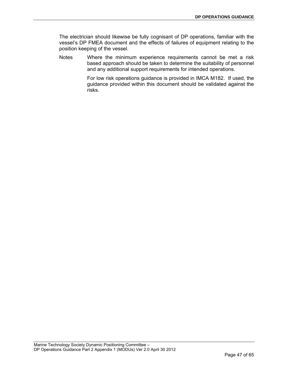The electrician should likewise be fully cognisant of DP operations, familiar with the vessel's DP FMEA document and the effects of failures of equipment relating to the position keeping of the vessel.

Notes Where the minimum experience requirements cannot be met a risk based approach should be taken to determine the suitability of personnel and any additional support requirements for intended operations.

> For low risk operations guidance is provided in IMCA M182. If used, the guidance provided within this document should be validated against the risks.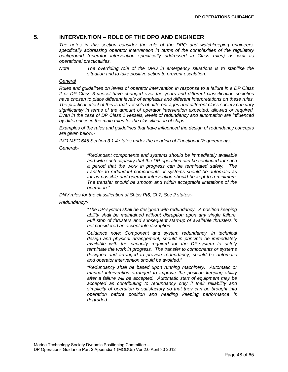## <span id="page-47-0"></span>**5. INTERVENTION – ROLE OF THE DPO AND ENGINEER**

*The notes in this section consider the role of the DPO and watchkeeping engineers, specifically addressing operator intervention in terms of the complexities of the regulatory background (operator intervention specifically addressed in Class rules) as well as operational practicalities.* 

*Note The overriding role of the DPO in emergency situations is to stabilise the situation and to take positive action to prevent escalation.* 

## *General*

*Rules and guidelines on levels of operator intervention in response to a failure in a DP Class 2 or DP Class 3 vessel have changed over the years and different classification societies have chosen to place different levels of emphasis and different interpretations on these rules. The practical effect of this is that vessels of different ages and different class society can vary significantly in terms of the amount of operator intervention expected, allowed or required. Even in the case of DP Class 1 vessels, levels of redundancy and automation are influenced by differences in the main rules for the classification of ships.* 

*Examples of the rules and guidelines that have influenced the design of redundancy concepts are given below:-* 

*IMO MSC 645 Section 3.1.4 states under the heading of Functional Requirements,* 

#### *General:-*

*"Redundant components and systems should be immediately available and with such capacity that the DP-operation can be continued for such a period that the work in progress can be terminated safely. The transfer to redundant components or systems should be automatic as far as possible and operator intervention should be kept to a minimum. The transfer should be smooth and within acceptable limitations of the operation."* 

*DNV rules for the classification of Ships Pt6, Ch7, Sec 2 states:-* 

### *Redundancy:-*

*"The DP-system shall be designed with redundancy. A position keeping ability shall be maintained without disruption upon any single failure. Full stop of thrusters and subsequent start-up of available thrusters is not considered an acceptable disruption.* 

*Guidance note: Component and system redundancy, in technical design and physical arrangement, should in principle be immediately available with the capacity required for the DP-system to safely terminate the work in progress. The transfer to components or systems designed and arranged to provide redundancy, should be automatic and operator intervention should be avoided."* 

*"Redundancy shall be based upon running machinery. Automatic or manual intervention arranged to improve the position keeping ability after a failure will be accepted. Automatic start of equipment may be accepted as contributing to redundancy only if their reliability and simplicity of operation is satisfactory so that they can be brought into operation before position and heading keeping performance is degraded.*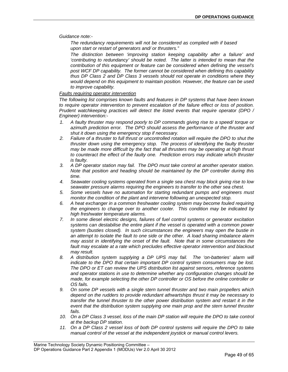*Guidance note:-* 

*The redundancy requirements will not be considered as complied with if based upon start or restart of generators and/ or thrusters."* 

*The distinction between 'improving station keeping capability after a failure' and 'contributing to redundancy' should be noted. The latter is intended to mean that the contribution of this equipment or feature can be considered when defining the vessel's post WCF DP capability. The former cannot be considered when defining this capability thus DP Class 2 and DP Class 3 vessels should not operate in conditions where they would depend on this equipment to maintain position. However, the feature can be used to improve capability.* 

#### *Faults requiring operator intervention*

*The following list comprises known faults and features in DP systems that have been known to require operator intervention to prevent escalation of the failure effect or loss of position. Prudent watchkeeping practices will detect the listed events that require operator (DPO / Engineer) intervention:-* 

- *1. A faulty thruster may respond poorly to DP commands giving rise to a speed/ torque or azimuth prediction error. The DPO should assess the performance of the thruster and shut it down using the emergency stop if necessary.*
- *2. Failure of a thruster to full thrust or uncontrolled rotation will require the DPO to shut the thruster down using the emergency stop. The process of identifying the faulty thruster may be made more difficult by the fact that all thrusters may be operating at high thrust to counteract the effect of the faulty one. Prediction errors may indicate which thruster is faulty.*
- *3. A DP operator station may fail. The DPO must take control at another operator station. Note that position and heading should be maintained by the DP controller during this time.*
- *4. Seawater cooling systems operated from a single sea chest may block giving rise to low seawater pressure alarms requiring the engineers to transfer to the other sea chest.*
- *5. Some vessels have no automation for starting redundant pumps and engineers must monitor the condition of the plant and intervene following an unexpected stop.*
- *6. A heat exchanger in a common freshwater cooling system may become fouled requiring the engineers to change over to another cooler. This condition may be indicated by high freshwater temperature alarms.*
- *7. In some diesel electric designs, failures of fuel control systems or generator excitation systems can destabilise the entire plant if the vessel is operated with a common power system (busties closed). In such circumstances the engineers may open the bustie in an attempt to isolate the fault to one side or the other. A load sharing imbalance alarm may assist in identifying the onset of the fault. Note that in some circumstances the fault may escalate at a rate which precludes effective operator intervention and blackout may result.*
- *8. A distribution system supplying a DP UPS may fail. The 'on-batteries' alarm will indicate to the DPO that certain important DP control system consumers may be lost. The DPO or ET can review the UPS distribution list against sensors, reference systems and operator stations in use to determine whether any configuration changes should be made, for example selecting the other DP controller or OS before the online controller or OS fails.*
- *9. On some DP vessels with a single stern tunnel thruster and two main propellers which depend on the rudders to provide redundant athwartships thrust it may be necessary to transfer the tunnel thruster to the other power distribution system and restart it in the event that the distribution system supplying one main prop and the stern tunnel thruster fails.*
- 10. On a DP Class 3 vessel, loss of the main DP station will require the DPO to take control *at the backup DP station.*
- *11. On a DP Class 2 vessel loss of both DP control systems will require the DPO to take manual control of the vessel at the independent joystick or manual control levers.*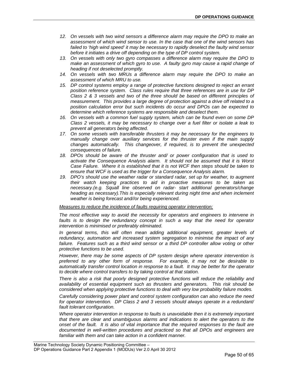- *12. On vessels with two wind sensors a difference alarm may require the DPO to make an assessment of which wind sensor to use. In the case that one of the wind sensors has failed to 'high wind speed' it may be necessary to rapidly deselect the faulty wind sensor before it initiates a drive off depending on the type of DP control system.*
- *13. On vessels with only two gyro compasses a difference alarm may require the DPO to make an assessment of which gyro to use. A faulty gyro may cause a rapid change of heading if not deselected promptly.*
- 14. On vessels with two MRUs a difference alarm may require the DPO to make an *assessment of which MRU to use.*
- *15. DP control systems employ a range of protective functions designed to reject an errant position reference system. Class rules require that three references are in use for DP Class 2 & 3 vessels and two of the three should be based on different principles of measurement. This provides a large degree of protection against a drive off related to a position calculation error but such incidents do occur and DPOs can be expected to determine which reference systems are responsible and deselect them.*
- *16. On vessels with a common fuel supply system, which can be found even on some DP Class 2 vessels, it may be necessary to change over a fuel filter or isolate a leak to prevent all generators being affected.*
- *17. On some vessels with transferable thrusters it may be necessary for the engineers to manually change over auxiliary services for the thruster even if the main supply changes automatically. This changeover, if required, is to prevent the unexpected consequences of failure.*
- *18. DPOs should be aware of the thruster and/ or power configuration that is used to activate the Consequence Analysis alarm. It should not be assumed that it is Worst Case Failure. Where it is established that it is not WCF then steps should be taken to ensure that WCF is used as the trigger for a Consequence Analysis alarm.*
- *19. DPO's should use the weather radar or standard radar, set up for weather, to augment their watch keeping practices to aid in proactive measures to be taken as necessary.(e.g. Squall line observed on radar- start additional generators/change heading as necessary).This is especially relevant during night time and when inclement weather is being forecast and//or being experienced.*

#### *Measures to reduce the incidence of faults requiring operator intervention;*

*The most effective way to avoid the necessity for operators and engineers to intervene in*  faults is to design the redundancy concept in such a way that the need for operator *intervention is minimised or preferably eliminated.* 

In general terms, this will often mean adding additional equipment, greater levels of redundancy, automation and increased system segregation to minimise the impact of any failure. Features such as a third wind sensor or a third DP controller allow voting or other *protective functions to be used.* 

*However, there may be some aspects of DP system design where operator intervention is preferred to any other form of response. For example, it may not be desirable to automatically transfer control location in response to a fault. It may be better for the operator to decide where control transfers to by taking control at that station.* 

*There is also a risk that poorly designed protective functions will reduce the reliability and availability of essential equipment such as thrusters and generators. This risk should be considered when applying protective functions to deal with very low probability failure modes.* 

*Carefully considering power plant and control system configuration can also reduce the need for operator intervention. DP Class 2 and 3 vessels should always operate in a redundant/ fault tolerant configuration.* 

*Where operator intervention in response to faults is unavoidable then it is extremely important that there are clear and unambiguous alarms and indications to alert the operators to the onset of the fault. It is also of vital importance that the required responses to the fault are documented in well-written procedures and practiced so that all DPOs and engineers are familiar with them and can take action in a confident manner.*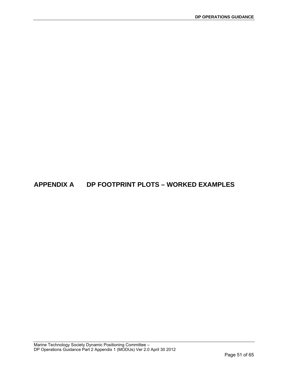# **APPENDIX A DP FOOTPRINT PLOTS – WORKED EXAMPLES**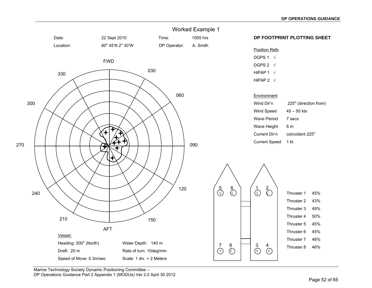

Marine Technology Society Dynamic Positioning Committee – DP Operations Guidance Part 2 Appendix 1 (MODUs) Ver 2.0 April 30 2012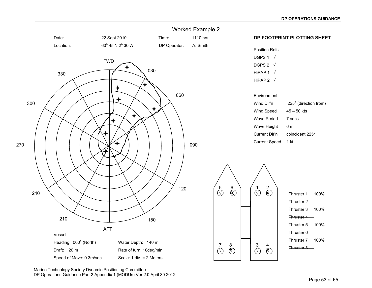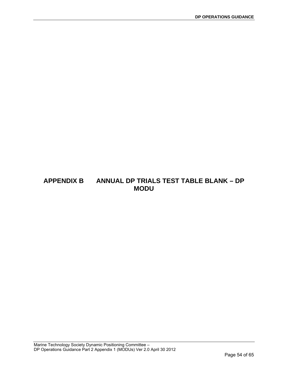## **APPENDIX B ANNUAL DP TRIALS TEST TABLE BLANK – DP MODU**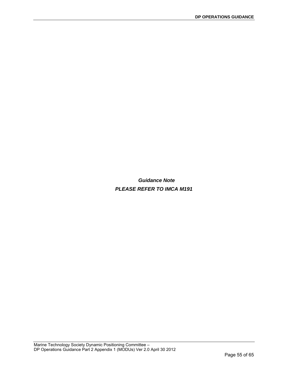*Guidance Note PLEASE REFER TO IMCA M191*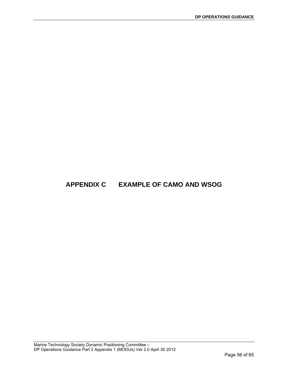# **APPENDIX C EXAMPLE OF CAMO AND WSOG**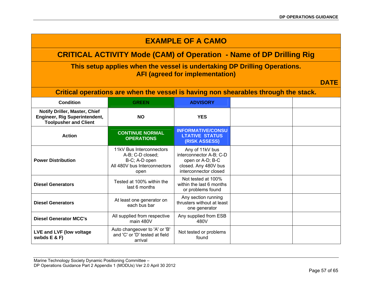| <b>EXAMPLE OF A CAMO</b>                                                                       |                                                                                                       |                                                                                                                 |  |             |
|------------------------------------------------------------------------------------------------|-------------------------------------------------------------------------------------------------------|-----------------------------------------------------------------------------------------------------------------|--|-------------|
|                                                                                                | <b>CRITICAL ACTIVITY Mode (CAM) of Operation - Name of DP Drilling Rig</b>                            |                                                                                                                 |  |             |
|                                                                                                | This setup applies when the vessel is undertaking DP Drilling Operations.                             | <b>AFI (agreed for implementation)</b>                                                                          |  |             |
|                                                                                                |                                                                                                       |                                                                                                                 |  | <b>DATE</b> |
|                                                                                                | Critical operations are when the vessel is having non shearables through the stack.                   |                                                                                                                 |  |             |
| <b>Condition</b>                                                                               | <b>GREEN</b>                                                                                          | <b>ADVISORY</b>                                                                                                 |  |             |
| Notify Driller, Master, Chief<br>Engineer, Rig Superintendent,<br><b>Toolpusher and Client</b> | <b>NO</b>                                                                                             | <b>YES</b>                                                                                                      |  |             |
| <b>Action</b>                                                                                  | <b>CONTINUE NORMAL</b><br><b>OPERATIONS</b>                                                           | <b>INFORMATIVE/CONSU</b><br><b>LTATIVE STATUS</b><br>(RISK ASSESS)                                              |  |             |
| <b>Power Distribution</b>                                                                      | 11kV Bus Interconnectors<br>A-B; C-D closed;<br>B-C; A-D open<br>All 480V bus Interconnectors<br>open | Any of 11kV bus<br>interconnector A-B; C-D<br>open or A-D; B-C<br>closed. Any 480V bus<br>interconnector closed |  |             |
| <b>Diesel Generators</b>                                                                       | Tested at 100% within the<br>last 6 months                                                            | Not tested at 100%<br>within the last 6 months<br>or problems found                                             |  |             |
| <b>Diesel Generators</b>                                                                       | At least one generator on<br>each bus bar                                                             | Any section running<br>thrusters without at least<br>one generator                                              |  |             |
| <b>Diesel Generator MCC's</b>                                                                  | All supplied from respective<br>main 480V                                                             | Any supplied from ESB<br>480V                                                                                   |  |             |
| LVE and LVF (low voltage<br>swbds $E$ & $F$ )                                                  | Auto changeover to 'A' or 'B'<br>and 'C' or 'D' tested at field<br>arrival                            | Not tested or problems<br>found                                                                                 |  |             |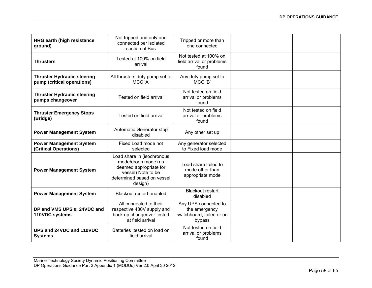| <b>HRG earth (high resistance</b><br>ground)                     | Not tripped and only one<br>connected per isolated<br>section of Bus                                                                       | Tripped or more than<br>one connected                                        |  |
|------------------------------------------------------------------|--------------------------------------------------------------------------------------------------------------------------------------------|------------------------------------------------------------------------------|--|
| <b>Thrusters</b>                                                 | Tested at 100% on field<br>arrival                                                                                                         | Not tested at 100% on<br>field arrival or problems<br>found                  |  |
| <b>Thruster Hydraulic steering</b><br>pump (critical operations) | All thrusters duty pump set to<br>MCC 'A'                                                                                                  | Any duty pump set to<br>MCC 'B'                                              |  |
| <b>Thruster Hydraulic steering</b><br>pumps changeover           | Tested on field arrival                                                                                                                    | Not tested on field<br>arrival or problems<br>found                          |  |
| <b>Thruster Emergency Stops</b><br>(Bridge)                      | Tested on field arrival                                                                                                                    | Not tested on field<br>arrival or problems<br>found                          |  |
| <b>Power Management System</b>                                   | Automatic Generator stop<br>disabled                                                                                                       | Any other set up                                                             |  |
| <b>Power Management System</b><br>(Critical Operations)          | Fixed Load mode not<br>selected                                                                                                            | Any generator selected<br>to Fixed load mode                                 |  |
| <b>Power Management System</b>                                   | Load share in (isochronous<br>mode/droop mode) as<br>deemed appropriate for<br>vessel) Note to be<br>determined based on vessel<br>design) | Load share failed to<br>mode other than<br>appropriate mode                  |  |
| <b>Power Management System</b>                                   | <b>Blackout restart enabled</b>                                                                                                            | <b>Blackout restart</b><br>disabled                                          |  |
| DP and VMS UPS's; 24VDC and<br>110VDC systems                    | All connected to their<br>respective 480V supply and<br>back up changeover tested<br>at field arrival                                      | Any UPS connected to<br>the emergency<br>switchboard, failed or on<br>bypass |  |
| UPS and 24VDC and 110VDC<br><b>Systems</b>                       | Batteries tested on load on<br>field arrival                                                                                               | Not tested on field<br>arrival or problems<br>found                          |  |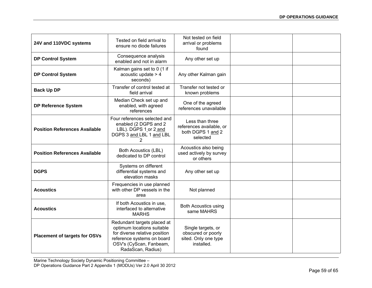| 24V and 110VDC systems               | Tested on field arrival to<br>ensure no diode failures                                                                                                                   | Not tested on field<br>arrival or problems<br>found                            |  |
|--------------------------------------|--------------------------------------------------------------------------------------------------------------------------------------------------------------------------|--------------------------------------------------------------------------------|--|
| <b>DP Control System</b>             | Consequence analysis<br>enabled and not in alarm                                                                                                                         | Any other set up                                                               |  |
| <b>DP Control System</b>             | Kalman gains set to 0 (1 if<br>acoustic update $> 4$<br>seconds)                                                                                                         | Any other Kalman gain                                                          |  |
| <b>Back Up DP</b>                    | Transfer of control tested at<br>field arrival                                                                                                                           | Transfer not tested or<br>known problems                                       |  |
| <b>DP Reference System</b>           | Median Check set up and<br>enabled, with agreed<br>references                                                                                                            | One of the agreed<br>references unavailable                                    |  |
| <b>Position References Available</b> | Four references selected and<br>enabled (2 DGPS and 2<br>LBL). DGPS 1 or 2 and<br>DGPS 3 and LBL 1 and LBL<br>2                                                          | Less than three<br>references available, or<br>both DGPS 1 and 2<br>selected   |  |
| <b>Position References Available</b> | <b>Both Acoustics (LBL)</b><br>dedicated to DP control                                                                                                                   | Acoustics also being<br>used actively by survey<br>or others                   |  |
| <b>DGPS</b>                          | Systems on different<br>differential systems and<br>elevation masks                                                                                                      | Any other set up                                                               |  |
| <b>Acoustics</b>                     | Frequencies in use planned<br>with other DP vessels in the<br>area                                                                                                       | Not planned                                                                    |  |
| <b>Acoustics</b>                     | If both Acoustics in use,<br>interfaced to alternative<br><b>MARHS</b>                                                                                                   | <b>Both Acoustics using</b><br>same MAHRS                                      |  |
| <b>Placement of targets for OSVs</b> | Redundant targets placed at<br>optimum locations suitable<br>for diverse relative position<br>reference systems on board<br>OSV's (CyScan, Fanbeam,<br>RadaScan, Radius) | Single targets, or<br>obscured or poorly<br>sited. Only one type<br>installed. |  |

Marine Technology Society Dynamic Positioning Committee –

DP Operations Guidance Part 2 Appendix 1 (MODUs) Ver 2.0 April 30 2012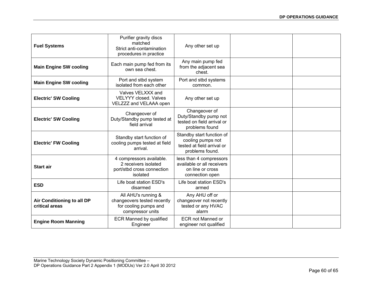| <b>Fuel Systems</b>                          | Purifier gravity discs<br>matched<br>Strict anti-contamination<br>procedures in practice        | Any other set up                                                                                |  |
|----------------------------------------------|-------------------------------------------------------------------------------------------------|-------------------------------------------------------------------------------------------------|--|
| <b>Main Engine SW cooling</b>                | Each main pump fed from its<br>own sea chest.                                                   | Any main pump fed<br>from the adjacent sea<br>chest.                                            |  |
| <b>Main Engine SW cooling</b>                | Port and stbd system<br>isolated from each other                                                | Port and stbd systems<br>common.                                                                |  |
| <b>Electric' SW Cooling</b>                  | Valves VELXXX and<br><b>VELYYY closed. Valves</b><br>VELZZZ and VELAAA open                     | Any other set up                                                                                |  |
| <b>Electric' SW Cooling</b>                  | Changeover of<br>Duty/Standby pump tested at<br>field arrival                                   | Changeover of<br>Duty/Standby pump not<br>tested on field arrival or<br>problems found          |  |
| <b>Electric' FW Cooling</b>                  | Standby start function of<br>cooling pumps tested at field<br>arrival.                          | Standby start function of<br>cooling pumps not<br>tested at field arrival or<br>problems found. |  |
| <b>Start air</b>                             | 4 compressors available.<br>2 receivers isolated<br>port/stbd cross connection<br>isolated      | less than 4 compressors<br>available or all receivers<br>on line or cross<br>connection open    |  |
| <b>ESD</b>                                   | Life boat station ESD's<br>disarmed                                                             | Life boat station ESD's<br>armed                                                                |  |
| Air Conditioning to all DP<br>critical areas | All AHU's running &<br>changeovers tested recently<br>for cooling pumps and<br>compressor units | Any AHU off or<br>changeover not recently<br>tested or any HVAC<br>alarm                        |  |
| <b>Engine Room Manning</b>                   | <b>ECR Manned by qualified</b><br>Engineer                                                      | <b>ECR not Manned or</b><br>engineer not qualified                                              |  |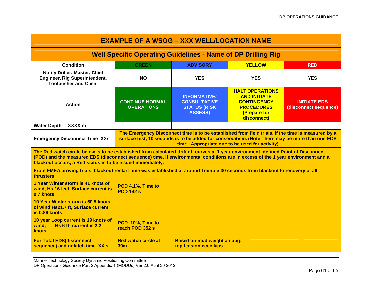| <b>EXAMPLE OF A WSOG - XXX WELL/LOCATION NAME</b>                                                                                                                                                                                                                                                                                     |                                               |                                                                                                                                                                                                                                                        |                                                                                                                         |                                              |
|---------------------------------------------------------------------------------------------------------------------------------------------------------------------------------------------------------------------------------------------------------------------------------------------------------------------------------------|-----------------------------------------------|--------------------------------------------------------------------------------------------------------------------------------------------------------------------------------------------------------------------------------------------------------|-------------------------------------------------------------------------------------------------------------------------|----------------------------------------------|
| <b>Well Specific Operating Guidelines - Name of DP Drilling Rig</b>                                                                                                                                                                                                                                                                   |                                               |                                                                                                                                                                                                                                                        |                                                                                                                         |                                              |
| <b>Condition</b>                                                                                                                                                                                                                                                                                                                      | <b>GREEN</b>                                  | <b>ADVISORY</b>                                                                                                                                                                                                                                        | <b>YELLOW</b>                                                                                                           | <b>RED</b>                                   |
| Notify Driller, Master, Chief<br><b>Engineer, Rig Superintendent,</b><br><b>Toolpusher and Client</b>                                                                                                                                                                                                                                 | <b>NO</b>                                     | <b>YES</b>                                                                                                                                                                                                                                             | <b>YES</b>                                                                                                              | <b>YES</b>                                   |
| <b>Action</b>                                                                                                                                                                                                                                                                                                                         | <b>CONTINUE NORMAL</b><br><b>OPERATIONS</b>   | <b>INFORMATIVE/</b><br><b>CONSULTATIVE</b><br><b>STATUS (RISK)</b><br><b>ASSESS)</b>                                                                                                                                                                   | <b>HALT OPERATIONS</b><br><b>AND INITIATE</b><br><b>CONTINGENCY</b><br><b>PROCEDURES</b><br>(Prepare for<br>disconnect) | <b>INITIATE EDS</b><br>(disconnect sequence) |
| XXXX m<br><b>Water Depth</b>                                                                                                                                                                                                                                                                                                          |                                               |                                                                                                                                                                                                                                                        |                                                                                                                         |                                              |
| <b>Emergency Disconnect Time XXs</b>                                                                                                                                                                                                                                                                                                  |                                               | The Emergency Disconnect time is to be established from field trials. If the time is measured by a<br>surface test, 10 seconds is to be added for conservatism. (Note There may be more than one EDS<br>time. Appropriate one to be used for activity) |                                                                                                                         |                                              |
| The Red watch circle below is to be established from calculated drift off curves at 1 year environment, defined Point of Disconnect<br>(POD) and the measured EDS (disconnect sequence) time. If environmental conditions are in excess of the 1 year environment and a<br>blackout occurs, a Red status is to be issued immediately. |                                               |                                                                                                                                                                                                                                                        |                                                                                                                         |                                              |
| From FMEA proving trials, blackout restart time was established at around 1minute 30 seconds from blackout to recovery of all<br>thrusters                                                                                                                                                                                            |                                               |                                                                                                                                                                                                                                                        |                                                                                                                         |                                              |
| 1 Year Winter storm is 41 knots of<br>wind, Hs 16 feet, Surface current is<br>0.7 knots                                                                                                                                                                                                                                               | POD 4.1%, Time to<br><b>POD 142 s</b>         |                                                                                                                                                                                                                                                        |                                                                                                                         |                                              |
| 10 Year Winter storm is 50.5 knots<br>of wind Hs21.7 ft, Surface current<br>is 0.86 knots                                                                                                                                                                                                                                             |                                               |                                                                                                                                                                                                                                                        |                                                                                                                         |                                              |
| 10 year Loop current is 19 knots of<br>Hs 6 ft; current is 2.2<br>wind,<br>knots                                                                                                                                                                                                                                                      | POD 10%, Time to<br>reach POD 352 s           |                                                                                                                                                                                                                                                        |                                                                                                                         |                                              |
| <b>For Total EDS(disconnect</b><br>sequence) and unlatch time XX s                                                                                                                                                                                                                                                                    | <b>Red watch circle at</b><br>39 <sub>m</sub> | Based on mud weight aa ppg;<br>top tension cccc kips                                                                                                                                                                                                   |                                                                                                                         |                                              |

Marine Technology Society Dynamic Positioning Committee – DP Operations Guidance Part 2 Appendix 1 (MODUs) Ver 2.0 April 30 2012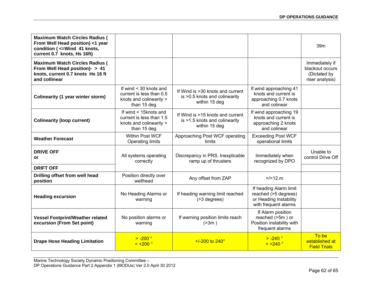| <b>Maximum Watch Circles Radius (</b><br>From Well Head position) <1 year<br>condition ( <= Wind 41 knots,<br>current 0.7 knots, Hs 16ft) |                                                                                              |                                                                                    |                                                                                                  | 39m                                                                  |
|-------------------------------------------------------------------------------------------------------------------------------------------|----------------------------------------------------------------------------------------------|------------------------------------------------------------------------------------|--------------------------------------------------------------------------------------------------|----------------------------------------------------------------------|
| <b>Maximum Watch Circles Radius (</b><br>From Well Head position)- > 41<br>knots, current 0.7 knots Hs 16 ft<br>and collinear             |                                                                                              |                                                                                    |                                                                                                  | Immediately if<br>blackout occurs<br>(Dictated by<br>riser analysis) |
| Colinearity (1 year winter storm)                                                                                                         | If wind < 30 knots and<br>current is less than 0.5<br>knots and colinearity ><br>than 15 deg | If Wind is >30 knots and current<br>is >0.5 knots and colinearity<br>within 15 deg | If wind approaching 41<br>knots and current is<br>approaching 0.7 knots<br>and colinear          |                                                                      |
| <b>Colinearity (loop current)</b>                                                                                                         | If wind < 15knots and<br>current is less than 1.5<br>knots and colinearity ><br>than 15 deg  | If Wind is >15 knots and current<br>is >1.5 knots and colinearity<br>within 15 deg | If wind approaching 19<br>knots and current is<br>approaching 2 knots<br>and colinear            |                                                                      |
| <b>Weather Forecast</b>                                                                                                                   | Within Post WCF<br><b>Operating limits</b>                                                   | Approaching Post WCF operating<br>limits                                           | <b>Exceeding Post WCF</b><br>operational limits                                                  |                                                                      |
| <b>DRIVE OFF</b><br><b>or</b>                                                                                                             | All systems operating<br>correctly                                                           | Discrepancy in PRS. Inexplicable<br>ramp up of thrusters                           | Immediately when<br>recognized by DPO                                                            | Unable to<br>control Drive Off                                       |
| <b>DRIFT OFF</b>                                                                                                                          |                                                                                              |                                                                                    |                                                                                                  |                                                                      |
| Drilling offset from well head<br>position                                                                                                | Position directly over<br>wellhead                                                           | Any offset from ZAP                                                                | $=$ />12.m                                                                                       |                                                                      |
| <b>Heading excursion</b>                                                                                                                  | No Heading Alarms or<br>warning                                                              | If heading warning limit reached<br>(>3 degrees)                                   | If heading Alarm limit<br>reached (>5 degrees)<br>or Heading instability<br>with frequent alarms |                                                                      |
| <b>Vessel Footprint/Weather related</b><br>excursion (From Set point)                                                                     | No position alarms or<br>warning                                                             | If warning position limits reach<br>(>3m)                                          | If Alarm position<br>reached (>5m) or<br>Position instability with<br>frequent alarms            |                                                                      |
| <b>Drape Hose Heading Limitation</b>                                                                                                      | $> -200$ °<br>$< +200$ °                                                                     | $+/-200$ to 240 $^{\circ}$                                                         | $> -240$ °<br>$< +240$ °                                                                         | To be<br>established at<br><b>Field Trials</b>                       |

Marine Technology Society Dynamic Positioning Committee – DP Operations Guidance Part 2 Appendix 1 (MODUs) Ver 2.0 April 30 2012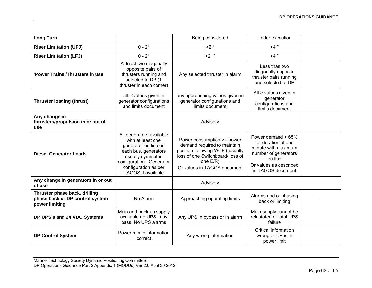| <b>Long Turn</b>                                                                   |                                                                                                                                                                                                     | Being considered                                                                                                                                                            | Under execution                                                                                                                                       |  |
|------------------------------------------------------------------------------------|-----------------------------------------------------------------------------------------------------------------------------------------------------------------------------------------------------|-----------------------------------------------------------------------------------------------------------------------------------------------------------------------------|-------------------------------------------------------------------------------------------------------------------------------------------------------|--|
| <b>Riser Limitation (UFJ)</b>                                                      | $0 - 2^{\circ}$                                                                                                                                                                                     | >2°                                                                                                                                                                         | $>4^\circ$                                                                                                                                            |  |
| <b>Riser Limitation (LFJ)</b>                                                      | $0 - 2^{\circ}$                                                                                                                                                                                     | $>2^\circ$                                                                                                                                                                  | $>4^\circ$                                                                                                                                            |  |
| 'Power Trains'/Thrusters in use                                                    | At least two diagonally<br>opposite pairs of<br>thrusters running and<br>selected to DP (1<br>thruster in each corner)                                                                              | Any selected thruster in alarm                                                                                                                                              | Less than two<br>diagonally opposite<br>thruster pairs running<br>and selected to DP                                                                  |  |
| <b>Thruster loading (thrust)</b>                                                   | all <values given="" in<br="">generator configurations<br/>and limits document</values>                                                                                                             | any approaching values given in<br>generator configurations and<br>limits document                                                                                          | All > values given in<br>generator<br>configurations and<br>limits document                                                                           |  |
| Any change in<br>thrusters/propulsion in or out of<br>use                          |                                                                                                                                                                                                     | Advisory                                                                                                                                                                    |                                                                                                                                                       |  |
| <b>Diesel Generator Loads</b>                                                      | All generators available<br>with at least one<br>generator on line on<br>each bus, generators<br>usually symmetric<br>configuration. Generator<br>configuration as per<br><b>TAGOS</b> if available | Power consumption >= power<br>demand required to maintain<br>position following WCF (usually<br>loss of one Switchboard/ loss of<br>one E/R)<br>Or values in TAGOS document | Power demand $> 65\%$<br>for duration of one<br>minute with maximum<br>number of generators<br>on line<br>Or values as described<br>in TAGOS document |  |
| Any change in generators in or out<br>of use                                       |                                                                                                                                                                                                     | Advisory                                                                                                                                                                    |                                                                                                                                                       |  |
| Thruster phase back, drilling<br>phase back or DP control system<br>power limiting | No Alarm                                                                                                                                                                                            | Approaching operating limits                                                                                                                                                | Alarms and or phasing<br>back or limiting                                                                                                             |  |
| DP UPS's and 24 VDC Systems                                                        | Main and back up supply<br>available no UPS in by<br>pass. No UPS alarms                                                                                                                            | Any UPS in bypass or in alarm                                                                                                                                               | Main supply cannot be<br>reinstated or total UPS<br>failure                                                                                           |  |
| <b>DP Control System</b>                                                           | Power mimic information<br>correct                                                                                                                                                                  | Any wrong information                                                                                                                                                       | Critical information<br>wrong or DP is in<br>power limit                                                                                              |  |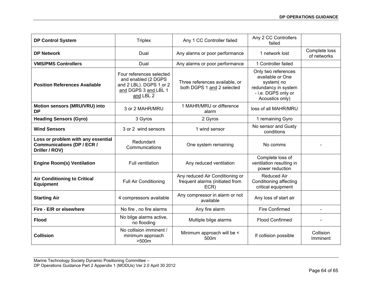| <b>DP Control System</b>                                                                  | <b>Triplex</b>                                                                                                  | Any 1 CC Controller failed                                                 | Any 2 CC Controllers<br>failed                                                                                         |                              |
|-------------------------------------------------------------------------------------------|-----------------------------------------------------------------------------------------------------------------|----------------------------------------------------------------------------|------------------------------------------------------------------------------------------------------------------------|------------------------------|
| <b>DP Network</b>                                                                         | Dual                                                                                                            | Any alarms or poor performance                                             | 1 network lost                                                                                                         | Complete loss<br>of networks |
| <b>VMS/PMS Controllers</b>                                                                | Dual                                                                                                            | Any alarms or poor performance                                             | 1 Controller failed                                                                                                    |                              |
| <b>Position References Available</b>                                                      | Four references selected<br>and enabled (2 DGPS<br>and 2 LBL). DGPS 1 or 2<br>and DGPS 3 and LBL 1<br>and LBL 2 | Three references available, or<br>both DGPS 1 and 2 selected               | Only two references<br>available or One<br>system(no<br>redundancy in system<br>- i.e. DGPS only or<br>Acoustics only) |                              |
| Motion sensors (MRU/VRU) into<br><b>DP</b>                                                | 3 or 2 MAHR/MRU                                                                                                 | 1 MAHR/MRU or difference<br>alarm                                          | loss of all MAHR/MRU                                                                                                   |                              |
| <b>Heading Sensors (Gyro)</b>                                                             | 3 Gyros                                                                                                         | 2 Gyros                                                                    | 1 remaining Gyro                                                                                                       |                              |
| <b>Wind Sensors</b>                                                                       | 3 or 2 wind sensors                                                                                             | 1 wind sensor                                                              | No sensor and Gusty<br>conditions                                                                                      |                              |
| Loss or problem with any essential<br><b>Communications (DP / ECR /</b><br>Driller / ROV) | Redundant<br>Communications                                                                                     | One system remaining                                                       | No comms                                                                                                               |                              |
| <b>Engine Room(s) Ventilation</b>                                                         | Full ventilation                                                                                                | Any reduced ventilation                                                    | Complete loss of<br>ventilation resulting in<br>power reduction                                                        |                              |
| <b>Air Conditioning to Critical</b><br><b>Equipment</b>                                   | <b>Full Air Conditioning</b>                                                                                    | Any reduced Air Conditioning or<br>frequent alarms (initiated from<br>ECR) | <b>Reduced Air</b><br>Conditioning affecting<br>critical equipment                                                     |                              |
| <b>Starting Air</b>                                                                       | 4 compressors available                                                                                         | Any compressor in alarm or not<br>available                                | Any loss of start air                                                                                                  |                              |
| Fire - E/R or elsewhere                                                                   | No fire, no fire alarms                                                                                         | Any fire alarm                                                             | <b>Fire Confirmed</b>                                                                                                  |                              |
| <b>Flood</b>                                                                              | No bilge alarms active,<br>no flooding                                                                          | Multiple bilge alarms                                                      | <b>Flood Confirmed</b>                                                                                                 |                              |
| <b>Collision</b>                                                                          | No collision imminent /<br>minimum approach<br>>500m                                                            | Minimum approach will be <<br>500m                                         | If collision possible                                                                                                  | Collision<br>Imminent        |